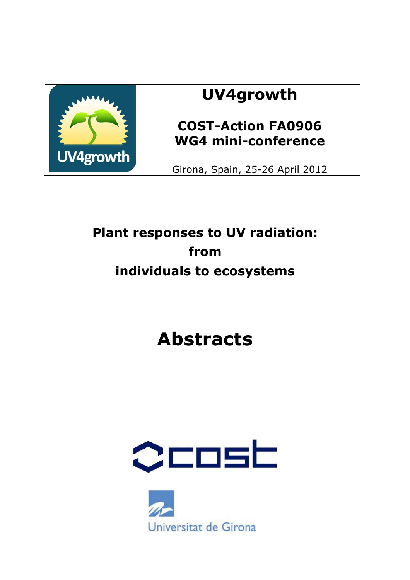

# **UV4growth**

# **COST-Action FA0906 WG4 mini-conference**

Girona, Spain, 25-26 April 2012

# **Plant responses to UV radiation: from individuals to ecosystems**

# **Abstracts**



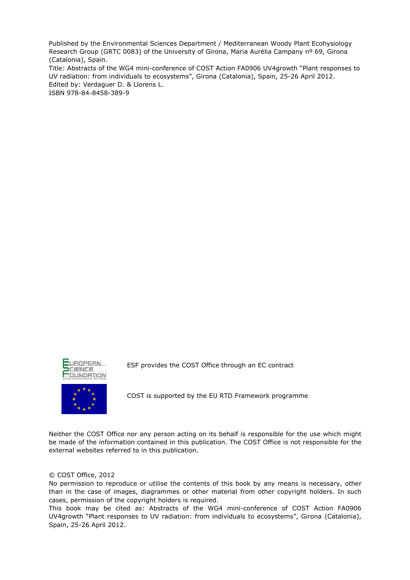Published by the Environmental Sciences Department / Mediterranean Woody Plant Ecohysiology Research Group (GRTC 0083) of the University of Girona, Maria Aurèlia Campany nº 69, Girona (Catalonia), Spain.

Title: Abstracts of the WG4 mini-conference of COST Action FA0906 UV4growth "Plant responses to UV radiation: from individuals to ecosystems", Girona (Catalonia), Spain, 25-26 April 2012. Edited by: Verdaguer D. & Llorens L. ISBN 978-84-8458-389-9





ESF provides the COST Office through an EC contract

COST is supported by the EU RTD Framework programme

Neither the COST Office nor any person acting on its behalf is responsible for the use which might be made of the information contained in this publication. The COST Office is not responsible for the external websites referred to in this publication.

#### © COST Office, 2012

No permission to reproduce or utilise the contents of this book by any means is necessary, other than in the case of images, diagrammes or other material from other copyright holders. In such cases, permission of the copyright holders is required.

This book may be cited as: Abstracts of the WG4 mini-conference of COST Action FA0906 UV4growth "Plant responses to UV radiation: from individuals to ecosystems", Girona (Catalonia), Spain, 25-26 April 2012.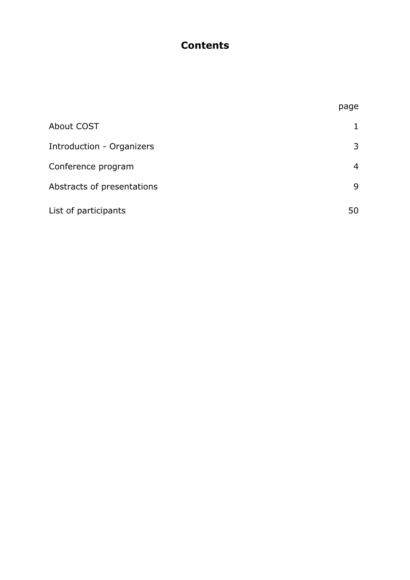# **Contents**

|                                  | page |
|----------------------------------|------|
| <b>About COST</b>                |      |
| <b>Introduction - Organizers</b> | 3    |
| Conference program               | 4    |
| Abstracts of presentations       | 9    |
| List of participants             | 50   |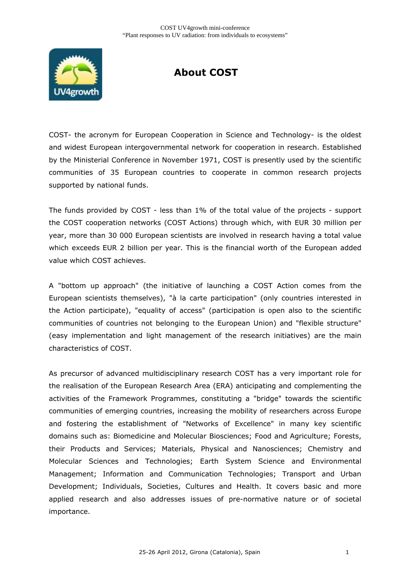

# **About COST**

COST- the acronym for European Cooperation in Science and Technology- is the oldest and widest European intergovernmental network for cooperation in research. Established by the Ministerial Conference in November 1971, COST is presently used by the scientific communities of 35 European countries to cooperate in common research projects supported by national funds.

The funds provided by COST - less than 1% of the total value of the projects - support the COST cooperation networks (COST Actions) through which, with EUR 30 million per year, more than 30 000 European scientists are involved in research having a total value which exceeds EUR 2 billion per year. This is the financial worth of the European added value which COST achieves.

A "bottom up approach" (the initiative of launching a COST Action comes from the European scientists themselves), "à la carte participation" (only countries interested in the Action participate), "equality of access" (participation is open also to the scientific communities of countries not belonging to the European Union) and "flexible structure" (easy implementation and light management of the research initiatives) are the main characteristics of COST.

As precursor of advanced multidisciplinary research COST has a very important role for the realisation of the European Research Area (ERA) anticipating and complementing the activities of the Framework Programmes, constituting a "bridge" towards the scientific communities of emerging countries, increasing the mobility of researchers across Europe and fostering the establishment of "Networks of Excellence" in many key scientific domains such as: Biomedicine and Molecular Biosciences; Food and Agriculture; Forests, their Products and Services; Materials, Physical and Nanosciences; Chemistry and Molecular Sciences and Technologies; Earth System Science and Environmental Management; Information and Communication Technologies; Transport and Urban Development; Individuals, Societies, Cultures and Health. It covers basic and more applied research and also addresses issues of pre-normative nature or of societal importance.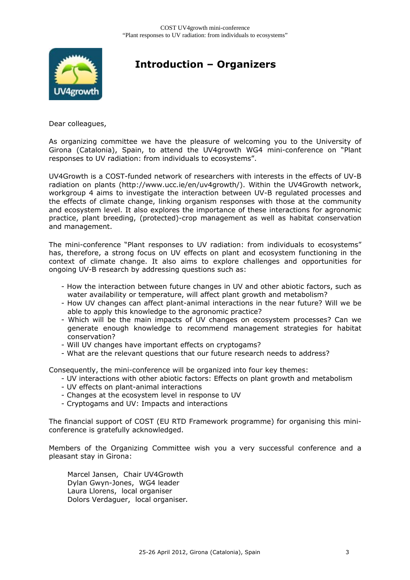

# **Introduction – Organizers**

Dear colleagues,

As organizing committee we have the pleasure of welcoming you to the University of Girona (Catalonia), Spain, to attend the UV4growth WG4 mini-conference on "Plant responses to UV radiation: from individuals to ecosystems".

UV4Growth is a COST-funded network of researchers with interests in the effects of UV-B radiation on plants (http://www.ucc.ie/en/uv4growth/). Within the UV4Growth network, workgroup 4 aims to investigate the interaction between UV-B regulated processes and the effects of climate change, linking organism responses with those at the community and ecosystem level. It also explores the importance of these interactions for agronomic practice, plant breeding, (protected)-crop management as well as habitat conservation and management.

The mini-conference "Plant responses to UV radiation: from individuals to ecosystems" has, therefore, a strong focus on UV effects on plant and ecosystem functioning in the context of climate change. It also aims to explore challenges and opportunities for ongoing UV-B research by addressing questions such as:

- How the interaction between future changes in UV and other abiotic factors, such as water availability or temperature, will affect plant growth and metabolism?
- How UV changes can affect plant-animal interactions in the near future? Will we be able to apply this knowledge to the agronomic practice?
- Which will be the main impacts of UV changes on ecosystem processes? Can we generate enough knowledge to recommend management strategies for habitat conservation?
- Will UV changes have important effects on cryptogams?
- What are the relevant questions that our future research needs to address?

Consequently, the mini-conference will be organized into four key themes:

- UV interactions with other abiotic factors: Effects on plant growth and metabolism
- UV effects on plant-animal interactions
- Changes at the ecosystem level in response to UV
- Cryptogams and UV: Impacts and interactions

The financial support of COST (EU RTD Framework programme) for organising this miniconference is gratefully acknowledged.

Members of the Organizing Committee wish you a very successful conference and a pleasant stay in Girona:

Marcel Jansen, Chair UV4Growth Dylan Gwyn-Jones, WG4 leader Laura Llorens, local organiser Dolors Verdaguer, local organiser*.*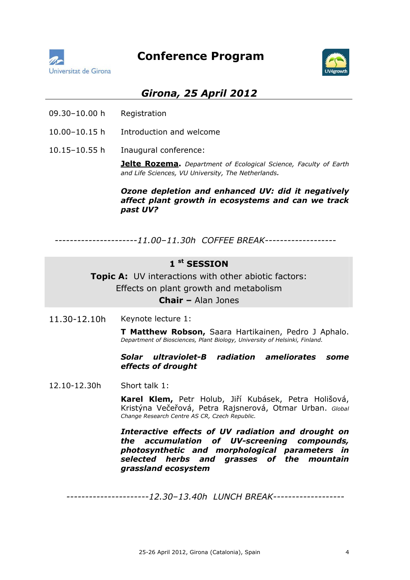



## *Girona, 25 April 2012*

- 09.30–10.00 h Registration
- 10.00–10.15 h Introduction and welcome
- 10.15–10.55 h Inaugural conference:

**Jelte Rozema.** *Department of Ecological Science, Faculty of Earth and Life Sciences, VU University, The Netherlands.* 

#### *Ozone depletion and enhanced UV: did it negatively affect plant growth in ecosystems and can we track past UV?*

 *----------------------11.00–11.30h COFFEE BREAK-------------------* 

## **1 st SESSION**

**Topic A:** UV interactions with other abiotic factors: Effects on plant growth and metabolism

**Chair –** Alan Jones

11.30-12.10h Keynote lecture 1:

**T Matthew Robson,** Saara Hartikainen, Pedro J Aphalo. *Department of Biosciences, Plant Biology, University of Helsinki, Finland.* 

#### *Solar ultraviolet-B radiation ameliorates some effects of drought*

12.10-12.30h Short talk 1:

**Karel Klem,** Petr Holub, Jiří Kubásek, Petra Holišová, Kristýna Večeřová, Petra Rajsnerová, Otmar Urban. *Global Change Research Centre AS CR, Czech Republic.*

*Interactive effects of UV radiation and drought on the accumulation of UV-screening compounds, photosynthetic and morphological parameters in selected herbs and grasses of the mountain grassland ecosystem* 

 *----------------------12.30–13.40h LUNCH BREAK-------------------*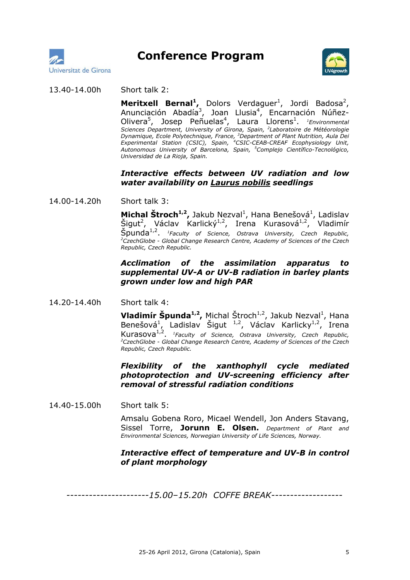



#### 13.40-14.00h Short talk 2:

**Meritxell Bernal<sup>1</sup>,** Dolors Verdaguer<sup>1</sup>, Jordi Badosa<sup>2</sup>, Anunciación Abadía<sup>3</sup>, Joan Llusia<sup>4</sup>, Encarnación Núñez-Olivera<sup>5</sup>, Josep Peñuelas<sup>4</sup>, Laura Llorens<sup>1</sup>. <sup>1</sup>Environmental *Sciences Department, University of Girona, Spain, <sup>2</sup> Laboratoire de Météorologie Dynamique, Ecole Polytechnique, France, <sup>3</sup> Department of Plant Nutrition, Aula Dei Experimental Station (CSIC), Spain, <sup>4</sup> CSIC-CEAB-CREAF Ecophysiology Unit, Autonomous University of Barcelona, Spain, <sup>5</sup> Complejo Científico-Tecnológico, Universidad de La Rioja, Spain.* 

#### *Interactive effects between UV radiation and low water availability on Laurus nobilis seedlings*

14.00-14.20h Short talk 3:

**Michal Štroch<sup>1,2</sup>,** Jakub Nezval<sup>1</sup>, Hana Benešová<sup>1</sup>, Ladislav Šigut<sup>2</sup>, Václav Karlický<sup>1,2</sup>, Irena Kurasová<sup>1,2</sup>, Vladimír **Špunda<sup>1,2</sup>.** *<sup>1</sup>Faculty of Science, Ostrava University, Czech Republic, <sup>2</sup>Czech <i>Republic*, <sup>2</sup> *CzechGlobe - Global Change Research Centre, Academy of Sciences of the Czech Republic, Czech Republic.* 

#### *Acclimation of the assimilation apparatus to supplemental UV-A or UV-B radiation in barley plants grown under low and high PAR*

14.20-14.40h Short talk 4:

**Vladimír Špunda<sup>1,2</sup>,** Michal Štroch<sup>1,2</sup>, Jakub Nezval<sup>1</sup>, Hana Benešová<sup>1</sup>, Ladislav Šigut <sup>1,2</sup>, Václav Karlicky<sup>1,2</sup>, Irena Kurasova<sup>1,2</sup>, <sup>1</sup>Faculty of Science, Ostrava University, Czech Republic,<br><sup>2</sup>CzechClabe, Clabel Change Besearch Centre Asademy of Sciences of the Czech *CzechGlobe - Global Change Research Centre, Academy of Sciences of the Czech Republic, Czech Republic.*

#### *Flexibility of the xanthophyll cycle mediated photoprotection and UV-screening efficiency after removal of stressful radiation conditions*

14.40-15.00h Short talk 5:

Amsalu Gobena Roro, Micael Wendell, Jon Anders Stavang, Sissel Torre, **Jorunn E. Olsen.** *Department of Plant and Environmental Sciences, Norwegian University of Life Sciences, Norway.* 

#### *Interactive effect of temperature and UV-B in control of plant morphology*

 *----------------------15.00–15.20h COFFE BREAK-------------------*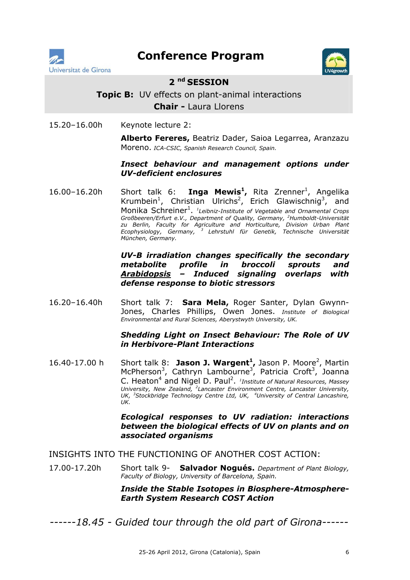



### **2 nd SESSION**

## **Topic B:** UV effects on plant-animal interactions **Chair -** Laura Llorens

15.20–16.00h Keynote lecture 2:

**Alberto Fereres,** Beatriz Dader, Saioa Legarrea, Aranzazu Moreno. *ICA-CSIC, Spanish Research Council, Spain.*

#### *Insect behaviour and management options under UV-deficient enclosures*

16.00-16.20h Short talk 6: **Inga Mewis<sup>1</sup>,** Rita Zrenner<sup>1</sup>, Angelika Krumbein<sup>1</sup>, Christian Ulrichs<sup>2</sup>, Erich Glawischnig<sup>3</sup>, and Monika Schreiner<sup>1</sup>. <sup>1</sup>Leibniz-Institute of Vegetable and Ornamental Crops *Großbeeren/Erfurt e.V., Department of Quality, Germany, <sup>2</sup> Humboldt-Universität zu Berlin, Faculty for Agriculture and Horticulture, Division Urban Plant Ecophysiology, Germany, 3 Lehrstuhl für Genetik, Technische Universität München, Germany.* 

> *UV-B irradiation changes specifically the secondary metabolite profile in broccoli sprouts and Arabidopsis – Induced signaling overlaps with defense response to biotic stressors*

16.20–16.40h Short talk 7: **Sara Mela,** Roger Santer, Dylan Gwynn-Jones, Charles Phillips, Owen Jones. *Institute of Biological Environmental and Rural Sciences, Aberystwyth University, UK.*

#### *Shedding Light on Insect Behaviour: The Role of UV in Herbivore-Plant Interactions*

16.40-17.00 h Short talk 8: Jason J. Wargent<sup>1</sup>, Jason P. Moore<sup>2</sup>, Martin McPherson<sup>3</sup>, Cathryn Lambourne<sup>3</sup>, Patricia Croft<sup>3</sup>, Joanna C. Heaton<sup>4</sup> and Nigel D. Paul<sup>2</sup>. <sup>1</sup>Institute of Natural Resources, Massey *University, New Zealand, <sup>2</sup> Lancaster Environment Centre, Lancaster University, UK, <sup>3</sup> Stockbridge Technology Centre Ltd, UK, <sup>4</sup> University of Central Lancashire, UK.*

> *Ecological responses to UV radiation: interactions between the biological effects of UV on plants and on associated organisms*

#### INSIGHTS INTO THE FUNCTIONING OF ANOTHER COST ACTION:

17.00-17.20h Short talk 9- **Salvador Nogués.** *Department of Plant Biology, Faculty of Biology, University of Barcelona, Spain.*

> *Inside the Stable Isotopes in Biosphere-Atmosphere-Earth System Research COST Action*

*------18.45 - Guided tour through the old part of Girona------*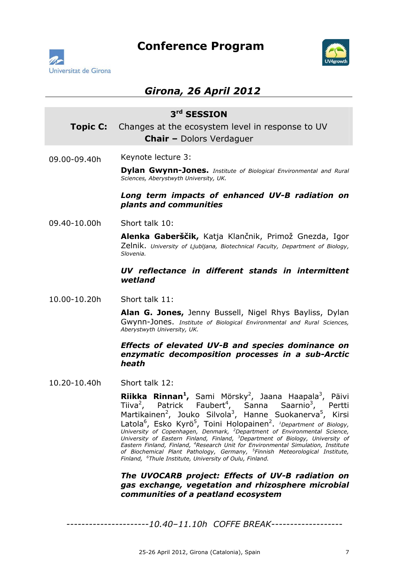



## *Girona, 26 April 2012*

# **3rd SESSION Topic C:** Changes at the ecosystem level in response to UV **Chair –** Dolors Verdaguer 09.00-09.40h Keynote lecture 3: **Dylan Gwynn-Jones.** *Institute of Biological Environmental and Rural Sciences, Aberystwyth University, UK. Long term impacts of enhanced UV-B radiation on plants and communities*  09.40-10.00h Short talk 10: **Alenka Gaberščik,** Katja Klančnik, Primož Gnezda, Igor Zelnik. *University of Ljubljana, Biotechnical Faculty, Department of Biology, Slovenia. UV reflectance in different stands in intermittent wetland*  10.00-10.20h Short talk 11: **Alan G. Jones,** Jenny Bussell, Nigel Rhys Bayliss, Dylan Gwynn-Jones. *Institute of Biological Environmental and Rural Sciences, Aberystwyth University, UK. Effects of elevated UV-B and species dominance on enzymatic decomposition processes in a sub-Arctic*

#### 10.20-10.40h Short talk 12:

*heath*

**Riikka Rinnan<sup>1</sup>,** Sami Mörsky<sup>2</sup>, Jaana Haapala<sup>3</sup>, Päivi Tiiva $^2$ , , Patrick Faubert<sup>4</sup>, Sanna Saarnio<sup>3</sup> , Pertti Martikainen<sup>2</sup>, Jouko Silvola<sup>3</sup>, Hanne Suokanerva<sup>5</sup>, Kirsi Latola<sup>6</sup>, Esko Kyrö<sup>5</sup>, Toini Holopainen<sup>2</sup>. *1Department of Biology, University of Copenhagen, Denmark, <sup>2</sup> Department of Environmental Science, University of Eastern Finland, Finland, <sup>3</sup> Department of Biology, University of Eastern Finland, Finland, <sup>4</sup> Research Unit for Environmental Simulation, Institute of Biochemical Plant Pathology, Germany, <sup>5</sup> Finnish Meteorological Institute, Finland, <sup>6</sup> Thule Institute, University of Oulu, Finland.* 

*The UVOCARB project: Effects of UV-B radiation on gas exchange, vegetation and rhizosphere microbial communities of a peatland ecosystem*

 *----------------------10.40–11.10h COFFE BREAK-------------------*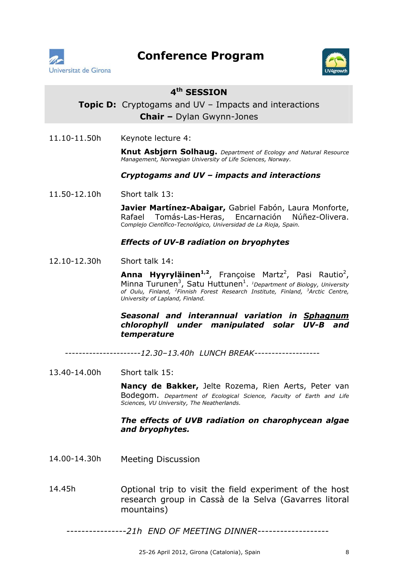



## **4th SESSION**

## **Topic D:** Cryptogams and UV – Impacts and interactions **Chair –** Dylan Gwynn-Jones

11.10-11.50h Keynote lecture 4:

**Knut Asbjørn Solhaug.** *Department of Ecology and Natural Resource Management, Norwegian University of Life Sciences, Norway.* 

#### *Cryptogams and UV – impacts and interactions*

11.50-12.10h Short talk 13:

**Javier Martínez-Abaigar,** Gabriel Fabón, Laura Monforte, Rafael Tomás-Las-Heras, Encarnación Núñez-Olivera. C*omplejo Científico-Tecnológico, Universidad de La Rioja, Spain.* 

#### *Effects of UV-B radiation on bryophytes*

12.10-12.30h Short talk 14:

**Anna Hyyryläinen<sup>1,2</sup>,** Françoise Martz<sup>2</sup>, Pasi Rautio<sup>2</sup>, Minna Turunen<sup>3</sup>, Satu Huttunen<sup>1</sup>. *<sup>1</sup>Department of Biology, University of Oulu, Finland, <sup>2</sup> Finnish Forest Research Institute, Finland, <sup>3</sup> Arctic Centre, University of Lapland, Finland.* 

#### *Seasonal and interannual variation in Sphagnum chlorophyll under manipulated solar UV-B and temperature*

 *----------------------12.30–13.40h LUNCH BREAK-------------------*

13.40-14.00h Short talk 15:

**Nancy de Bakker,** Jelte Rozema, Rien Aerts, Peter van Bodegom. *Department of Ecological Science, Faculty of Earth and Life Sciences, VU University, The Neatherlands.*

#### *The effects of UVB radiation on charophycean algae and bryophytes.*

- 14.00-14.30h Meeting Discussion
- 14.45h Optional trip to visit the field experiment of the host research group in Cassà de la Selva (Gavarres litoral mountains)

 *----------------21h END OF MEETING DINNER-------------------*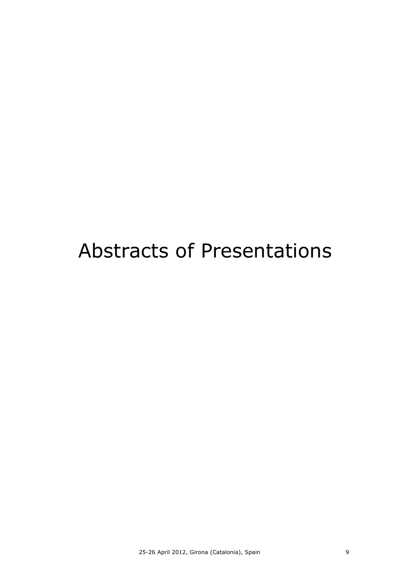# Abstracts of Presentations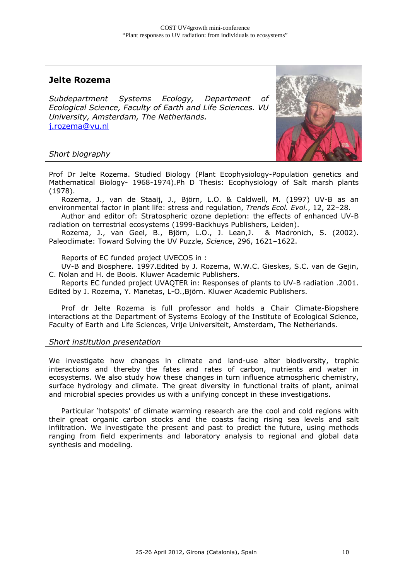## **Jelte Rozema**

*Subdepartment Systems Ecology, Department of Ecological Science, Faculty of Earth and Life Sciences. VU University, Amsterdam, The Netherlands.*  j.rozema@vu.nl





Prof Dr Jelte Rozema. Studied Biology (Plant Ecophysiology-Population genetics and Mathematical Biology- 1968-1974).Ph D Thesis: Ecophysiology of Salt marsh plants (1978).

Rozema, J., van de Staaij, J., Björn, L.O. & Caldwell, M. (1997) UV-B as an environmental factor in plant life: stress and regulation, *Trends Ecol. Evol.*, 12, 22–28.

Author and editor of: Stratospheric ozone depletion: the effects of enhanced UV-B radiation on terrestrial ecosystems (1999-Backhuys Publishers, Leiden).

Rozema, J., van Geel, B., Björn, L.O., J. Lean,J. & Madronich, S. (2002). Paleoclimate: Toward Solving the UV Puzzle, *Science*, 296, 1621–1622.

Reports of EC funded project UVECOS in :

UV-B and Biosphere. 1997.Edited by J. Rozema, W.W.C. Gieskes, S.C. van de Gejin, C. Nolan and H. de Boois. Kluwer Academic Publishers.

Reports EC funded project UVAQTER in: Responses of plants to UV-B radiation .2001. Edited by J. Rozema, Y. Manetas, L-O.,Björn. Kluwer Academic Publishers.

Prof dr Jelte Rozema is full professor and holds a Chair Climate-Biopshere interactions at the Department of Systems Ecology of the Institute of Ecological Science, Faculty of Earth and Life Sciences, Vrije Universiteit, Amsterdam, The Netherlands.

#### *Short institution presentation*

We investigate how changes in climate and land-use alter biodiversity, trophic interactions and thereby the fates and rates of carbon, nutrients and water in ecosystems. We also study how these changes in turn influence atmospheric chemistry, surface hydrology and climate. The great diversity in functional traits of plant, animal and microbial species provides us with a unifying concept in these investigations.

Particular 'hotspots' of climate warming research are the cool and cold regions with their great organic carbon stocks and the coasts facing rising sea levels and salt infiltration. We investigate the present and past to predict the future, using methods ranging from field experiments and laboratory analysis to regional and global data synthesis and modeling.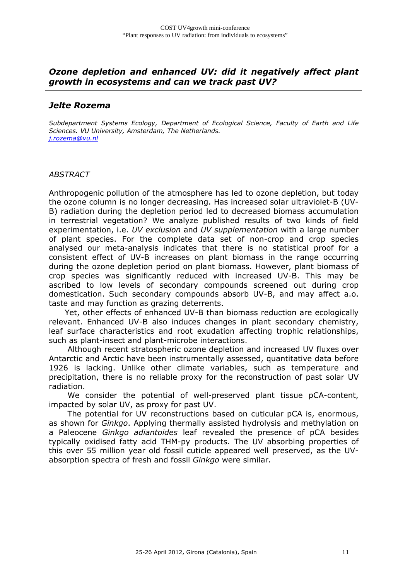### *Ozone depletion and enhanced UV: did it negatively affect plant growth in ecosystems and can we track past UV?*

### *Jelte Rozema*

*Subdepartment Systems Ecology, Department of Ecological Science, Faculty of Earth and Life Sciences. VU University, Amsterdam, The Netherlands. j.rozema@vu.nl*

#### *ABSTRACT*

Anthropogenic pollution of the atmosphere has led to ozone depletion, but today the ozone column is no longer decreasing. Has increased solar ultraviolet-B (UV-B) radiation during the depletion period led to decreased biomass accumulation in terrestrial vegetation? We analyze published results of two kinds of field experimentation, i.e. *UV exclusion* and *UV supplementation* with a large number of plant species. For the complete data set of non-crop and crop species analysed our meta-analysis indicates that there is no statistical proof for a consistent effect of UV-B increases on plant biomass in the range occurring during the ozone depletion period on plant biomass. However, plant biomass of crop species was significantly reduced with increased UV-B. This may be ascribed to low levels of secondary compounds screened out during crop domestication. Such secondary compounds absorb UV-B, and may affect a.o. taste and may function as grazing deterrents.

 Yet, other effects of enhanced UV-B than biomass reduction are ecologically relevant. Enhanced UV-B also induces changes in plant secondary chemistry, leaf surface characteristics and root exudation affecting trophic relationships, such as plant-insect and plant-microbe interactions.

 Although recent stratospheric ozone depletion and increased UV fluxes over Antarctic and Arctic have been instrumentally assessed, quantitative data before 1926 is lacking. Unlike other climate variables, such as temperature and precipitation, there is no reliable proxy for the reconstruction of past solar UV radiation.

 We consider the potential of well-preserved plant tissue pCA-content, impacted by solar UV, as proxy for past UV.

 The potential for UV reconstructions based on cuticular pCA is, enormous, as shown for *Ginkgo*. Applying thermally assisted hydrolysis and methylation on a Paleocene *Ginkgo adiantoides* leaf revealed the presence of pCA besides typically oxidised fatty acid THM-py products. The UV absorbing properties of this over 55 million year old fossil cuticle appeared well preserved, as the UVabsorption spectra of fresh and fossil *Ginkgo* were similar*.*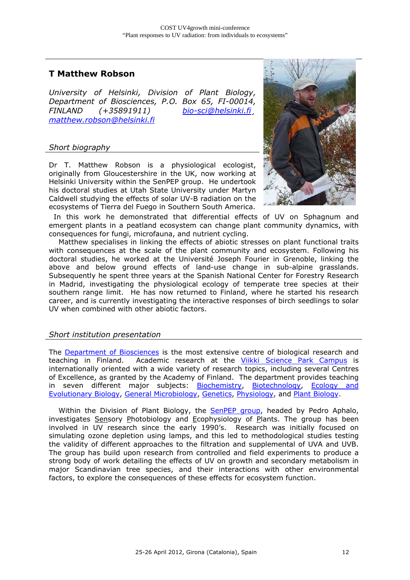## **T Matthew Robson**

*University of Helsinki, Division of Plant Biology, Department of Biosciences, P.O. Box 65, FI-00014, FINLAND (+35891911) bio-sci@helsinki.fi¸ matthew.robson@helsinki.fi*

#### *Short biography*

Dr T. Matthew Robson is a physiological ecologist, originally from Gloucestershire in the UK, now working at Helsinki University within the SenPEP group. He undertook his doctoral studies at Utah State University under Martyn Caldwell studying the effects of solar UV-B radiation on the ecosystems of Tierra del Fuego in Southern South America.



 In this work he demonstrated that differential effects of UV on Sphagnum and emergent plants in a peatland ecosystem can change plant community dynamics, with consequences for fungi, microfauna, and nutrient cycling.

 Matthew specialises in linking the effects of abiotic stresses on plant functional traits with consequences at the scale of the plant community and ecosystem. Following his doctoral studies, he worked at the Université Joseph Fourier in Grenoble, linking the above and below ground effects of land-use change in sub-alpine grasslands. Subsequently he spent three years at the Spanish National Center for Forestry Research in Madrid, investigating the physiological ecology of temperate tree species at their southern range limit. He has now returned to Finland, where he started his research career, and is currently investigating the interactive responses of birch seedlings to solar UV when combined with other abiotic factors.

#### *Short institution presentation*

The Department of Biosciences is the most extensive centre of biological research and teaching in Finland. Academic research at the Viikki Science Park Campus is internationally oriented with a wide variety of research topics, including several Centres of Excellence, as granted by the Academy of Finland. The department provides teaching in seven different major subjects: Biochemistry, Biotechnology, Ecology and Evolutionary Biology, General Microbiology, Genetics, Physiology, and Plant Biology.

Within the Division of Plant Biology, the SenPEP group, headed by Pedro Aphalo, investigates Sensory Photobiology and Ecophysiology of Plants. The group has been involved in UV research since the early 1990's. Research was initially focused on simulating ozone depletion using lamps, and this led to methodological studies testing the validity of different approaches to the filtration and supplemental of UVA and UVB. The group has build upon research from controlled and field experiments to produce a strong body of work detailing the effects of UV on growth and secondary metabolism in major Scandinavian tree species, and their interactions with other environmental factors, to explore the consequences of these effects for ecosystem function.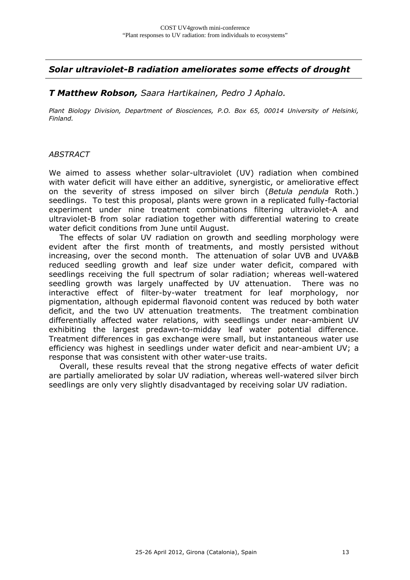*Solar ultraviolet-B radiation ameliorates some effects of drought* 

#### *T Matthew Robson, Saara Hartikainen, Pedro J Aphalo.*

*Plant Biology Division, Department of Biosciences, P.O. Box 65, 00014 University of Helsinki, Finland.*

#### *ABSTRACT*

We aimed to assess whether solar-ultraviolet (UV) radiation when combined with water deficit will have either an additive, synergistic, or ameliorative effect on the severity of stress imposed on silver birch (*Betula pendula* Roth.) seedlings. To test this proposal, plants were grown in a replicated fully-factorial experiment under nine treatment combinations filtering ultraviolet-A and ultraviolet-B from solar radiation together with differential watering to create water deficit conditions from June until August.

 The effects of solar UV radiation on growth and seedling morphology were evident after the first month of treatments, and mostly persisted without increasing, over the second month. The attenuation of solar UVB and UVA&B reduced seedling growth and leaf size under water deficit, compared with seedlings receiving the full spectrum of solar radiation; whereas well-watered seedling growth was largely unaffected by UV attenuation. There was no interactive effect of filter-by-water treatment for leaf morphology, nor pigmentation, although epidermal flavonoid content was reduced by both water deficit, and the two UV attenuation treatments. The treatment combination differentially affected water relations, with seedlings under near-ambient UV exhibiting the largest predawn-to-midday leaf water potential difference. Treatment differences in gas exchange were small, but instantaneous water use efficiency was highest in seedlings under water deficit and near-ambient UV; a response that was consistent with other water-use traits.

 Overall, these results reveal that the strong negative effects of water deficit are partially ameliorated by solar UV radiation, whereas well-watered silver birch seedlings are only very slightly disadvantaged by receiving solar UV radiation.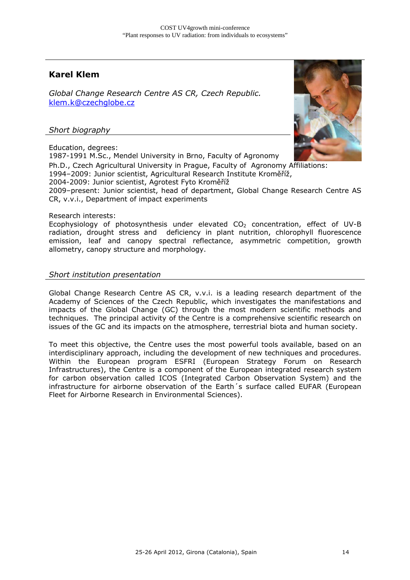## **Karel Klem**

*Global Change Research Centre AS CR, Czech Republic.*  klem.k@czechglobe.cz

#### *Short biography*

Education, degrees:



1987-1991 M.Sc., Mendel University in Brno, Faculty of Agronomy Ph.D., Czech Agricultural University in Prague, Faculty of Agronomy Affiliations: 1994–2009: Junior scientist, Agricultural Research Institute Kroměříž, 2004-2009: Junior scientist, Agrotest Fyto Kroměříž 2009–present: Junior scientist, head of department, Global Change Research Centre AS CR, v.v.i., Department of impact experiments

#### Research interests:

Ecophysiology of photosynthesis under elevated  $CO<sub>2</sub>$  concentration, effect of UV-B radiation, drought stress and deficiency in plant nutrition, chlorophyll fluorescence emission, leaf and canopy spectral reflectance, asymmetric competition, growth allometry, canopy structure and morphology.

#### *Short institution presentation*

Global Change Research Centre AS CR, v.v.i. is a leading research department of the Academy of Sciences of the Czech Republic, which investigates the manifestations and impacts of the Global Change (GC) through the most modern scientific methods and techniques. The principal activity of the Centre is a comprehensive scientific research on issues of the GC and its impacts on the atmosphere, terrestrial biota and human society.

To meet this objective, the Centre uses the most powerful tools available, based on an interdisciplinary approach, including the development of new techniques and procedures. Within the European program ESFRI (European Strategy Forum on Research Infrastructures), the Centre is a component of the European integrated research system for carbon observation called ICOS (Integrated Carbon Observation System) and the infrastructure for airborne observation of the Earth´s surface called EUFAR (European Fleet for Airborne Research in Environmental Sciences).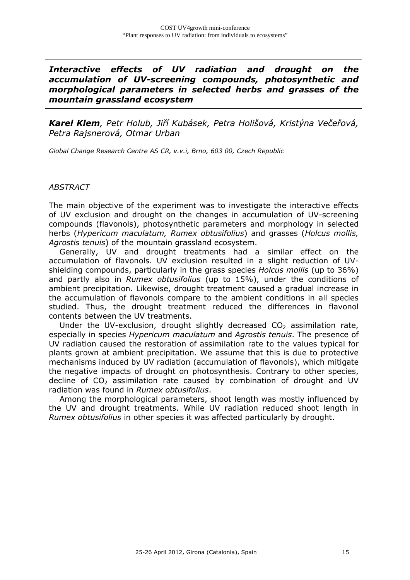*Interactive effects of UV radiation and drought on the accumulation of UV-screening compounds, photosynthetic and morphological parameters in selected herbs and grasses of the mountain grassland ecosystem* 

*Karel Klem, Petr Holub, Jiří Kubásek, Petra Holišová, Kristýna Večeřová, Petra Rajsnerová, Otmar Urban*

*Global Change Research Centre AS CR, v.v.i, Brno, 603 00, Czech Republic*

#### *ABSTRACT*

The main objective of the experiment was to investigate the interactive effects of UV exclusion and drought on the changes in accumulation of UV-screening compounds (flavonols), photosynthetic parameters and morphology in selected herbs (*Hypericum maculatum, Rumex obtusifolius*) and grasses (*Holcus mollis, Agrostis tenuis*) of the mountain grassland ecosystem.

 Generally, UV and drought treatments had a similar effect on the accumulation of flavonols. UV exclusion resulted in a slight reduction of UVshielding compounds, particularly in the grass species *Holcus mollis* (up to 36%) and partly also in *Rumex obtusifolius* (up to 15%), under the conditions of ambient precipitation. Likewise, drought treatment caused a gradual increase in the accumulation of flavonols compare to the ambient conditions in all species studied. Thus, the drought treatment reduced the differences in flavonol contents between the UV treatments.

Under the UV-exclusion, drought slightly decreased  $CO<sub>2</sub>$  assimilation rate, especially in species *Hypericum maculatum* and *Agrostis tenuis*. The presence of UV radiation caused the restoration of assimilation rate to the values typical for plants grown at ambient precipitation. We assume that this is due to protective mechanisms induced by UV radiation (accumulation of flavonols), which mitigate the negative impacts of drought on photosynthesis. Contrary to other species, decline of  $CO<sub>2</sub>$  assimilation rate caused by combination of drought and UV radiation was found in *Rumex obtusifolius*.

 Among the morphological parameters, shoot length was mostly influenced by the UV and drought treatments. While UV radiation reduced shoot length in *Rumex obtusifolius* in other species it was affected particularly by drought.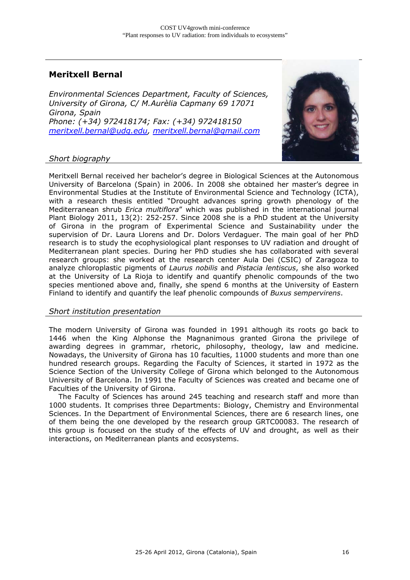## **Meritxell Bernal**

*Environmental Sciences Department, Faculty of Sciences, University of Girona, C/ M.Aurèlia Capmany 69 17071 Girona, Spain Phone: (+34) 972418174; Fax: (+34) 972418150 meritxell.bernal@udg.edu, meritxell.bernal@gmail.com*



#### *Short biography*

Meritxell Bernal received her bachelor's degree in Biological Sciences at the Autonomous University of Barcelona (Spain) in 2006. In 2008 she obtained her master's degree in Environmental Studies at the Institute of Environmental Science and Technology (ICTA), with a research thesis entitled "Drought advances spring growth phenology of the Mediterranean shrub *Erica multiflora*" which was published in the international journal Plant Biology 2011, 13(2): 252-257. Since 2008 she is a PhD student at the University of Girona in the program of Experimental Science and Sustainability under the supervision of Dr. Laura Llorens and Dr. Dolors Verdaguer. The main goal of her PhD research is to study the ecophysiological plant responses to UV radiation and drought of Mediterranean plant species. During her PhD studies she has collaborated with several research groups: she worked at the research center Aula Dei (CSIC) of Zaragoza to analyze chloroplastic pigments of *Laurus nobilis* and *Pistacia lentiscus*, she also worked at the University of La Rioja to identify and quantify phenolic compounds of the two species mentioned above and, finally, she spend 6 months at the University of Eastern Finland to identify and quantify the leaf phenolic compounds of *Buxus sempervirens*.

#### *Short institution presentation*

The modern University of Girona was founded in 1991 although its roots go back to 1446 when the King Alphonse the Magnanimous granted Girona the privilege of awarding degrees in grammar, rhetoric, philosophy, theology, law and medicine. Nowadays, the University of Girona has 10 faculties, 11000 students and more than one hundred research groups. Regarding the Faculty of Sciences, it started in 1972 as the Science Section of the University College of Girona which belonged to the Autonomous University of Barcelona. In 1991 the Faculty of Sciences was created and became one of Faculties of the University of Girona.

 The Faculty of Sciences has around 245 teaching and research staff and more than 1000 students. It comprises three Departments: Biology, Chemistry and Environmental Sciences. In the Department of Environmental Sciences, there are 6 research lines, one of them being the one developed by the research group GRTC00083. The research of this group is focused on the study of the effects of UV and drought, as well as their interactions, on Mediterranean plants and ecosystems.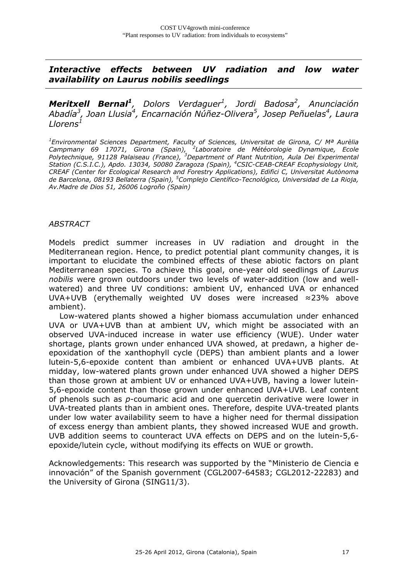*Interactive effects between UV radiation and low water availability on Laurus nobilis seedlings* 

*Meritxell Bernal<sup>1</sup>, Dolors Verdaguer1 , Jordi Badosa2 , Anunciación*  Abadía<sup>3</sup>, Joan Llusia<sup>4</sup>, Encarnación Núñez-Olivera<sup>5</sup>, Josep Peñuelas<sup>4</sup>, Laura *Llorens1*

*1 Environmental Sciences Department, Faculty of Sciences, Universitat de Girona, C/ Mª Aurèlia Campmany 69 17071, Girona (Spain), <sup>2</sup> Laboratoire de Météorologie Dynamique, Ecole Polytechnique, 91128 Palaiseau (France), <sup>3</sup> Department of Plant Nutrition, Aula Dei Experimental Station (C.S.I.C.), Apdo. 13034, 50080 Zaragoza (Spain), <sup>4</sup> CSIC-CEAB-CREAF Ecophysiology Unit, CREAF (Center for Ecological Research and Forestry Applications), Edifici C, Universitat Autònoma de Barcelona, 08193 Bellaterra (Spain), <sup>5</sup> Complejo Científico-Tecnológico, Universidad de La Rioja, Av.Madre de Dios 51, 26006 Logroño (Spain)* 

#### *ABSTRACT*

Models predict summer increases in UV radiation and drought in the Mediterranean region. Hence, to predict potential plant community changes, it is important to elucidate the combined effects of these abiotic factors on plant Mediterranean species. To achieve this goal, one-year old seedlings of *Laurus nobilis* were grown outdoors under two levels of water-addition (low and wellwatered) and three UV conditions: ambient UV, enhanced UVA or enhanced UVA+UVB (erythemally weighted UV doses were increased ≈23% above ambient).

 Low-watered plants showed a higher biomass accumulation under enhanced UVA or UVA+UVB than at ambient UV, which might be associated with an observed UVA-induced increase in water use efficiency (WUE). Under water shortage, plants grown under enhanced UVA showed, at predawn, a higher deepoxidation of the xanthophyll cycle (DEPS) than ambient plants and a lower lutein-5,6-epoxide content than ambient or enhanced UVA+UVB plants. At midday, low-watered plants grown under enhanced UVA showed a higher DEPS than those grown at ambient UV or enhanced UVA+UVB, having a lower lutein-5,6-epoxide content than those grown under enhanced UVA+UVB. Leaf content of phenols such as *p*-coumaric acid and one quercetin derivative were lower in UVA-treated plants than in ambient ones. Therefore, despite UVA-treated plants under low water availability seem to have a higher need for thermal dissipation of excess energy than ambient plants, they showed increased WUE and growth. UVB addition seems to counteract UVA effects on DEPS and on the lutein-5,6 epoxide/lutein cycle, without modifying its effects on WUE or growth.

Acknowledgements: This research was supported by the "Ministerio de Ciencia e innovación" of the Spanish government (CGL2007-64583; CGL2012-22283) and the University of Girona (SING11/3).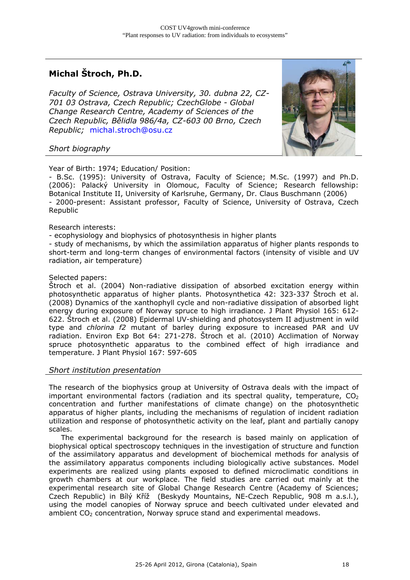## **Michal Štroch, Ph.D.**

*Faculty of Science, Ostrava University, 30. dubna 22, CZ-701 03 Ostrava, Czech Republic; CzechGlobe - Global Change Research Centre, Academy of Sciences of the Czech Republic, Bělidla 986/4a, CZ-603 00 Brno, Czech Republic;* michal.stroch@osu.cz



#### *Short biography*

Year of Birth: 1974; Education/ Position:

- B.Sc. (1995): University of Ostrava, Faculty of Science; M.Sc. (1997) and Ph.D. (2006): Palacký University in Olomouc, Faculty of Science; Research fellowship: Botanical Institute II, University of Karlsruhe, Germany, Dr. Claus Buschmann (2006) - 2000-present: Assistant professor, Faculty of Science, University of Ostrava, Czech Republic

#### Research interests:

- ecophysiology and biophysics of photosynthesis in higher plants

- study of mechanisms, by which the assimilation apparatus of higher plants responds to short-term and long-term changes of environmental factors (intensity of visible and UV radiation, air temperature)

#### Selected papers:

Štroch et al. (2004) Non-radiative dissipation of absorbed excitation energy within photosynthetic apparatus of higher plants. Photosynthetica 42: 323-337 Štroch et al. (2008) Dynamics of the xanthophyll cycle and non-radiative dissipation of absorbed light energy during exposure of Norway spruce to high irradiance. J Plant Physiol 165: 612- 622. Štroch et al. (2008) Epidermal UV-shielding and photosystem II adjustment in wild type and *chlorina f2* mutant of barley during exposure to increased PAR and UV radiation. Environ Exp Bot 64: 271-278. Štroch et al. (2010) Acclimation of Norway spruce photosynthetic apparatus to the combined effect of high irradiance and temperature. J Plant Physiol 167: 597-605

#### *Short institution presentation*

The research of the biophysics group at University of Ostrava deals with the impact of important environmental factors (radiation and its spectral quality, temperature,  $CO<sub>2</sub>$ concentration and further manifestations of climate change) on the photosynthetic apparatus of higher plants, including the mechanisms of regulation of incident radiation utilization and response of photosynthetic activity on the leaf, plant and partially canopy scales.

 The experimental background for the research is based mainly on application of biophysical optical spectroscopy techniques in the investigation of structure and function of the assimilatory apparatus and development of biochemical methods for analysis of the assimilatory apparatus components including biologically active substances. Model experiments are realized using plants exposed to defined microclimatic conditions in growth chambers at our workplace. The field studies are carried out mainly at the experimental research site of Global Change Research Centre (Academy of Sciences; Czech Republic) in Bílý Kříž (Beskydy Mountains, NE-Czech Republic, 908 m a.s.l.), using the model canopies of Norway spruce and beech cultivated under elevated and ambient  $CO<sub>2</sub>$  concentration, Norway spruce stand and experimental meadows.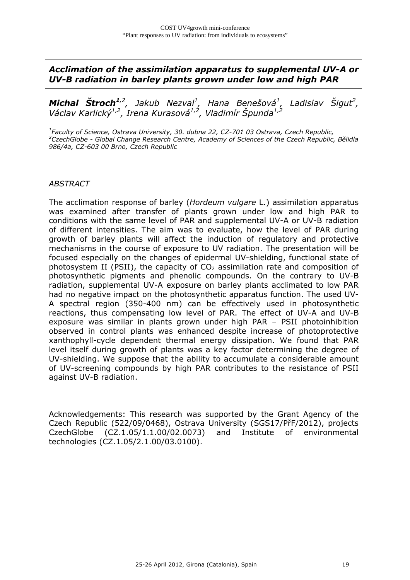*Acclimation of the assimilation apparatus to supplemental UV-A or UV-B radiation in barley plants grown under low and high PAR* 

*Michal Štroch1,2, Jakub Nezval1 , Hana Benešová1 , Ladislav Šigut2 , Václav Karlický1,2, Irena Kurasová1,2, Vladimír Špunda1,2* 

*1 Faculty of Science, Ostrava University, 30. dubna 22, CZ-701 03 Ostrava, Czech Republic, 2 CzechGlobe - Global Change Research Centre, Academy of Sciences of the Czech Republic, Bělidla 986/4a, CZ-603 00 Brno, Czech Republic* 

#### *ABSTRACT*

The acclimation response of barley (*Hordeum vulgare* L.) assimilation apparatus was examined after transfer of plants grown under low and high PAR to conditions with the same level of PAR and supplemental UV-A or UV-B radiation of different intensities. The aim was to evaluate, how the level of PAR during growth of barley plants will affect the induction of regulatory and protective mechanisms in the course of exposure to UV radiation. The presentation will be focused especially on the changes of epidermal UV-shielding, functional state of photosystem II (PSII), the capacity of  $CO<sub>2</sub>$  assimilation rate and composition of photosynthetic pigments and phenolic compounds. On the contrary to UV-B radiation, supplemental UV-A exposure on barley plants acclimated to low PAR had no negative impact on the photosynthetic apparatus function. The used UV-A spectral region (350-400 nm) can be effectively used in photosynthetic reactions, thus compensating low level of PAR. The effect of UV-A and UV-B exposure was similar in plants grown under high PAR – PSII photoinhibition observed in control plants was enhanced despite increase of photoprotective xanthophyll-cycle dependent thermal energy dissipation. We found that PAR level itself during growth of plants was a key factor determining the degree of UV-shielding. We suppose that the ability to accumulate a considerable amount of UV-screening compounds by high PAR contributes to the resistance of PSII against UV-B radiation.

Acknowledgements: This research was supported by the Grant Agency of the Czech Republic (522/09/0468), Ostrava University (SGS17/PřF/2012), projects CzechGlobe (CZ.1.05/1.1.00/02.0073) and Institute of environmental technologies (CZ.1.05/2.1.00/03.0100).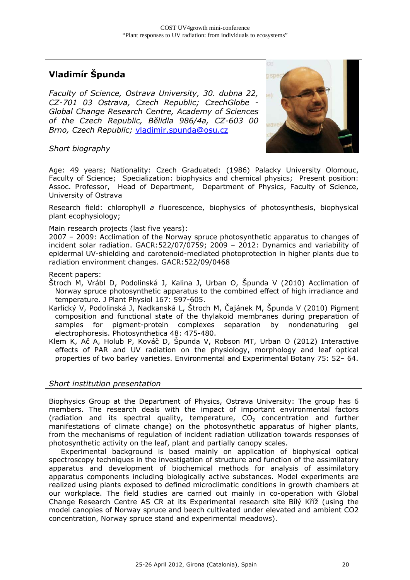## **Vladimír Špunda**

*Faculty of Science, Ostrava University, 30. dubna 22, CZ-701 03 Ostrava, Czech Republic; CzechGlobe - Global Change Research Centre, Academy of Sciences of the Czech Republic, Bělidla 986/4a, CZ-603 00 Brno, Czech Republic;* vladimir.spunda@osu.cz



#### *Short biography*

Age: 49 years; Nationality: Czech Graduated: (1986) Palacky University Olomouc, Faculty of Science; Specialization: biophysics and chemical physics; Present position: Assoc. Professor, Head of Department, Department of Physics, Faculty of Science, University of Ostrava

Research field: chlorophyll *a* fluorescence, biophysics of photosynthesis, biophysical plant ecophysiology;

Main research projects (last five years):

2007 – 2009: Acclimation of the Norway spruce photosynthetic apparatus to changes of incident solar radiation. GACR:522/07/0759; 2009 – 2012: Dynamics and variability of epidermal UV-shielding and carotenoid-mediated photoprotection in higher plants due to radiation environment changes. GACR:522/09/0468

Recent papers:

Štroch M, Vrábl D, Podolinská J, Kalina J, Urban O, Špunda V (2010) Acclimation of Norway spruce photosynthetic apparatus to the combined effect of high irradiance and temperature. J Plant Physiol 167: 597-605.

Karlický V, Podolinská J, Nadkanská L, Štroch M, Čajánek M, Špunda V (2010) Pigment composition and functional state of the thylakoid membranes during preparation of samples for pigment-protein complexes separation by nondenaturing gel electrophoresis. Photosynthetica 48: 475-480.

Klem K, Ač A, Holub P, Kováč D, Špunda V, Robson MT, Urban O (2012) Interactive effects of PAR and UV radiation on the physiology, morphology and leaf optical properties of two barley varieties. Environmental and Experimental Botany 75: 52– 64.

#### *Short institution presentation*

Biophysics Group at the Department of Physics, Ostrava University: The group has 6 members. The research deals with the impact of important environmental factors (radiation and its spectral quality, temperature,  $CO<sub>2</sub>$  concentration and further manifestations of climate change) on the photosynthetic apparatus of higher plants, from the mechanisms of regulation of incident radiation utilization towards responses of photosynthetic activity on the leaf, plant and partially canopy scales.

 Experimental background is based mainly on application of biophysical optical spectroscopy techniques in the investigation of structure and function of the assimilatory apparatus and development of biochemical methods for analysis of assimilatory apparatus components including biologically active substances. Model experiments are realized using plants exposed to defined microclimatic conditions in growth chambers at our workplace. The field studies are carried out mainly in co-operation with Global Change Research Centre AS CR at its Experimental research site Bílý Kříž (using the model canopies of Norway spruce and beech cultivated under elevated and ambient CO2 concentration, Norway spruce stand and experimental meadows).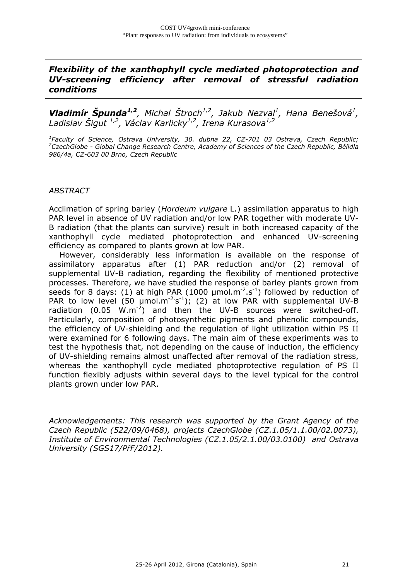## *Flexibility of the xanthophyll cycle mediated photoprotection and UV-screening efficiency after removal of stressful radiation conditions*

**Vladimír Špunda<sup>1,2</sup>,** Michal Štroch<sup>1,2</sup>, Jakub Nezval<sup>1</sup>, Hana Benešová<sup>1</sup>, *Ladislav Šigut 1,2, Václav Karlicky1,2, Irena Kurasova1,2* 

<sup>1</sup> Faculty of Science, Ostrava University, 30. dubna 22, CZ-701 03 Ostrava, Czech Republic;<br><sup>2</sup> Czech Cloba, Clobal Change Research Centre, Academy of Sciences of the Czech Republic, Bělidla *CzechGlobe - Global Change Research Centre, Academy of Sciences of the Czech Republic, Bělidla 986/4a, CZ-603 00 Brno, Czech Republic* 

#### *ABSTRACT*

Acclimation of spring barley (*Hordeum vulgare* L.) assimilation apparatus to high PAR level in absence of UV radiation and/or low PAR together with moderate UV-B radiation (that the plants can survive) result in both increased capacity of the xanthophyll cycle mediated photoprotection and enhanced UV-screening efficiency as compared to plants grown at low PAR.

 However, considerably less information is available on the response of assimilatory apparatus after (1) PAR reduction and/or (2) removal of supplemental UV-B radiation, regarding the flexibility of mentioned protective processes. Therefore, we have studied the response of barley plants grown from seeds for 8 days: (1) at high PAR (1000  $\mu$ mol.m<sup>-2</sup>.s<sup>-1</sup>) followed by reduction of PAR to low level  $(50 \text{ µmol} \cdot \text{m}^{-2} \cdot s^{-1})$ ; (2) at low PAR with supplemental UV-B radiation  $(0.05 \, W.m^{-2})$  and then the UV-B sources were switched-off. Particularly, composition of photosynthetic pigments and phenolic compounds, the efficiency of UV-shielding and the regulation of light utilization within PS II were examined for 6 following days. The main aim of these experiments was to test the hypothesis that, not depending on the cause of induction, the efficiency of UV-shielding remains almost unaffected after removal of the radiation stress, whereas the xanthophyll cycle mediated photoprotective regulation of PS II function flexibly adjusts within several days to the level typical for the control plants grown under low PAR.

*Acknowledgements: This research was supported by the Grant Agency of the Czech Republic (522/09/0468), projects CzechGlobe (CZ.1.05/1.1.00/02.0073), Institute of Environmental Technologies (CZ.1.05/2.1.00/03.0100) and Ostrava University (SGS17/PřF/2012).*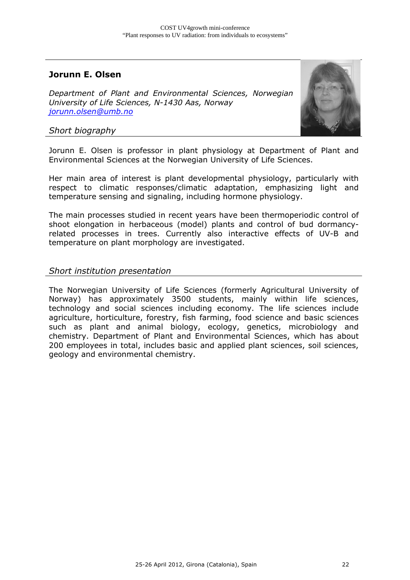## **Jorunn E. Olsen**

*Department of Plant and Environmental Sciences, Norwegian University of Life Sciences, N-1430 Aas, Norway jorunn.olsen@umb.no*



#### *Short biography*

Jorunn E. Olsen is professor in plant physiology at Department of Plant and Environmental Sciences at the Norwegian University of Life Sciences.

Her main area of interest is plant developmental physiology, particularly with respect to climatic responses/climatic adaptation, emphasizing light and temperature sensing and signaling, including hormone physiology.

The main processes studied in recent years have been thermoperiodic control of shoot elongation in herbaceous (model) plants and control of bud dormancyrelated processes in trees. Currently also interactive effects of UV-B and temperature on plant morphology are investigated.

#### *Short institution presentation*

The Norwegian University of Life Sciences (formerly Agricultural University of Norway) has approximately 3500 students, mainly within life sciences, technology and social sciences including economy. The life sciences include agriculture, horticulture, forestry, fish farming, food science and basic sciences such as plant and animal biology, ecology, genetics, microbiology and chemistry. Department of Plant and Environmental Sciences, which has about 200 employees in total, includes basic and applied plant sciences, soil sciences, geology and environmental chemistry.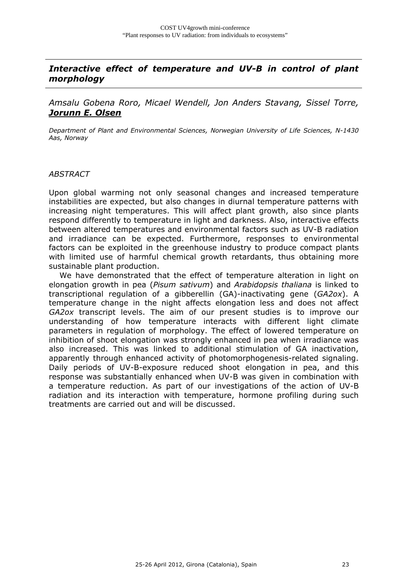## *Interactive effect of temperature and UV-B in control of plant morphology*

*Amsalu Gobena Roro, Micael Wendell, Jon Anders Stavang, Sissel Torre, Jorunn E. Olsen*

*Department of Plant and Environmental Sciences, Norwegian University of Life Sciences, N-1430 Aas, Norway* 

#### *ABSTRACT*

Upon global warming not only seasonal changes and increased temperature instabilities are expected, but also changes in diurnal temperature patterns with increasing night temperatures. This will affect plant growth, also since plants respond differently to temperature in light and darkness. Also, interactive effects between altered temperatures and environmental factors such as UV-B radiation and irradiance can be expected. Furthermore, responses to environmental factors can be exploited in the greenhouse industry to produce compact plants with limited use of harmful chemical growth retardants, thus obtaining more sustainable plant production.

 We have demonstrated that the effect of temperature alteration in light on elongation growth in pea (*Pisum sativum*) and *Arabidopsis thaliana* is linked to transcriptional regulation of a gibberellin (GA)-inactivating gene (*GA2ox*). A temperature change in the night affects elongation less and does not affect *GA2ox* transcript levels. The aim of our present studies is to improve our understanding of how temperature interacts with different light climate parameters in regulation of morphology. The effect of lowered temperature on inhibition of shoot elongation was strongly enhanced in pea when irradiance was also increased. This was linked to additional stimulation of GA inactivation, apparently through enhanced activity of photomorphogenesis-related signaling. Daily periods of UV-B-exposure reduced shoot elongation in pea, and this response was substantially enhanced when UV-B was given in combination with a temperature reduction. As part of our investigations of the action of UV-B radiation and its interaction with temperature, hormone profiling during such treatments are carried out and will be discussed.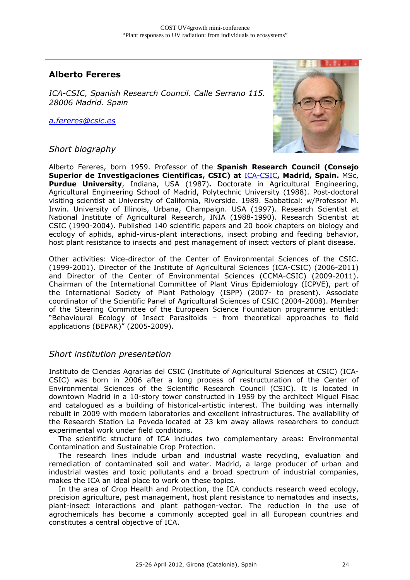## **Alberto Fereres**

*ICA-CSIC, Spanish Research Council. Calle Serrano 115. 28006 Madrid. Spain* 

*a.fereres@csic.es*

#### *Short biography*



Alberto Fereres, born 1959. Professor of the **Spanish Research Council (Consejo Superior de Investigaciones Cientificas, CSIC) at** ICA-CSIC**, Madrid, Spain.** MSc, **Purdue University**, Indiana, USA (1987)**.** Doctorate in Agricultural Engineering, Agricultural Engineering School of Madrid, Polytechnic University (1988). Post-doctoral visiting scientist at University of California, Riverside. 1989. Sabbatical: w/Professor M. Irwin. University of Illinois, Urbana, Champaign. USA (1997). Research Scientist at National Institute of Agricultural Research, INIA (1988-1990). Research Scientist at CSIC (1990-2004). Published 140 scientific papers and 20 book chapters on biology and ecology of aphids, aphid-virus-plant interactions, insect probing and feeding behavior, host plant resistance to insects and pest management of insect vectors of plant disease.

Other activities: Vice-director of the Center of Environmental Sciences of the CSIC. (1999-2001). Director of the Institute of Agricultural Sciences (ICA-CSIC) (2006-2011) and Director of the Center of Environmental Sciences (CCMA-CSIC) (2009-2011). Chairman of the International Committee of Plant Virus Epidemiology (ICPVE), part of the International Society of Plant Pathology (ISPP) (2007- to present). Associate coordinator of the Scientific Panel of Agricultural Sciences of CSIC (2004-2008). Member of the Steering Committee of the European Science Foundation programme entitled: "Behavioural Ecology of Insect Parasitoids – from theoretical approaches to field applications (BEPAR)" (2005-2009).

#### *Short institution presentation*

Instituto de Ciencias Agrarias del CSIC (Institute of Agricultural Sciences at CSIC) (ICA-CSIC) was born in 2006 after a long process of restructuration of the Center of Environmental Sciences of the Scientific Research Council (CSIC). It is located in downtown Madrid in a 10-story tower constructed in 1959 by the architect Miguel Fisac and catalogued as a building of historical-artistic interest. The building was internally rebuilt in 2009 with modern laboratories and excellent infrastructures. The availability of the Research Station La Poveda located at 23 km away allows researchers to conduct experimental work under field conditions.

 The scientific structure of ICA includes two complementary areas: Environmental Contamination and Sustainable Crop Protection.

 The research lines include urban and industrial waste recycling, evaluation and remediation of contaminated soil and water. Madrid, a large producer of urban and industrial wastes and toxic pollutants and a broad spectrum of industrial companies, makes the ICA an ideal place to work on these topics.

 In the area of Crop Health and Protection, the ICA conducts research weed ecology, precision agriculture, pest management, host plant resistance to nematodes and insects, plant-insect interactions and plant pathogen-vector. The reduction in the use of agrochemicals has become a commonly accepted goal in all European countries and constitutes a central objective of ICA.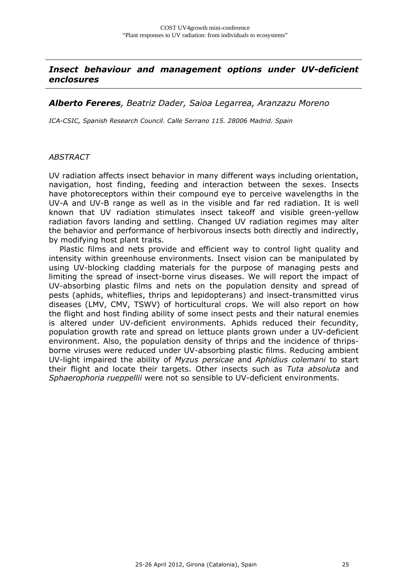## *Insect behaviour and management options under UV-deficient enclosures*

#### *Alberto Fereres, Beatriz Dader, Saioa Legarrea, Aranzazu Moreno*

*ICA-CSIC, Spanish Research Council. Calle Serrano 115. 28006 Madrid. Spain* 

#### *ABSTRACT*

UV radiation affects insect behavior in many different ways including orientation, navigation, host finding, feeding and interaction between the sexes. Insects have photoreceptors within their compound eye to perceive wavelengths in the UV-A and UV-B range as well as in the visible and far red radiation. It is well known that UV radiation stimulates insect takeoff and visible green-yellow radiation favors landing and settling. Changed UV radiation regimes may alter the behavior and performance of herbivorous insects both directly and indirectly, by modifying host plant traits.

 Plastic films and nets provide and efficient way to control light quality and intensity within greenhouse environments. Insect vision can be manipulated by using UV-blocking cladding materials for the purpose of managing pests and limiting the spread of insect-borne virus diseases. We will report the impact of UV-absorbing plastic films and nets on the population density and spread of pests (aphids, whiteflies, thrips and lepidopterans) and insect-transmitted virus diseases (LMV, CMV, TSWV) of horticultural crops. We will also report on how the flight and host finding ability of some insect pests and their natural enemies is altered under UV-deficient environments. Aphids reduced their fecundity, population growth rate and spread on lettuce plants grown under a UV-deficient environment. Also, the population density of thrips and the incidence of thripsborne viruses were reduced under UV-absorbing plastic films. Reducing ambient UV-light impaired the ability of *Myzus persicae* and *Aphidius colemani* to start their flight and locate their targets. Other insects such as *Tuta absoluta* and *Sphaerophoria rueppellii* were not so sensible to UV-deficient environments.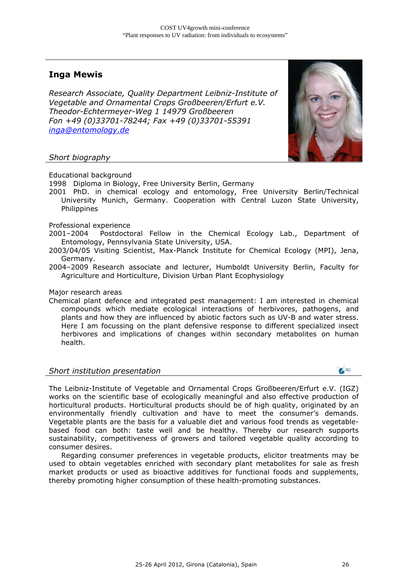## **Inga Mewis**

*Research Associate, Quality Department Leibniz-Institute of Vegetable and Ornamental Crops Großbeeren/Erfurt e.V. Theodor-Echtermeyer-Weg 1 14979 Großbeeren Fon +49 (0)33701-78244; Fax +49 (0)33701-55391 inga@entomology.de*



#### *Short biography*

Educational background

1998 Diploma in Biology, Free University Berlin, Germany

2001 PhD. in chemical ecology and entomology, Free University Berlin/Technical University Munich, Germany. Cooperation with Central Luzon State University, **Philippines** 

Professional experience

- 2001–2004 Postdoctoral Fellow in the Chemical Ecology Lab., Department of Entomology, Pennsylvania State University, USA.
- 2003/04/05 Visiting Scientist, Max-Planck Institute for Chemical Ecology (MPI), Jena, Germany.
- 2004–2009 Research associate and lecturer, Humboldt University Berlin, Faculty for Agriculture and Horticulture, Division Urban Plant Ecophysiology

#### Major research areas

Chemical plant defence and integrated pest management: I am interested in chemical compounds which mediate ecological interactions of herbivores, pathogens, and plants and how they are influenced by abiotic factors such as UV-B and water stress. Here I am focussing on the plant defensive response to different specialized insect herbivores and implications of changes within secondary metabolites on human health.

#### *Short institution presentation*

The Leibniz-Institute of Vegetable and Ornamental Crops Großbeeren/Erfurt e.V. (IGZ) works on the scientific base of ecologically meaningful and also effective production of horticultural products. Horticultural products should be of high quality, originated by an environmentally friendly cultivation and have to meet the consumer's demands. Vegetable plants are the basis for a valuable diet and various food trends as vegetablebased food can both: taste well and be healthy. Thereby our research supports sustainability, competitiveness of growers and tailored vegetable quality according to consumer desires.

Regarding consumer preferences in vegetable products, elicitor treatments may be used to obtain vegetables enriched with secondary plant metabolites for sale as fresh market products or used as bioactive additives for functional foods and supplements, thereby promoting higher consumption of these health-promoting substances.

 $\frac{162}{2}$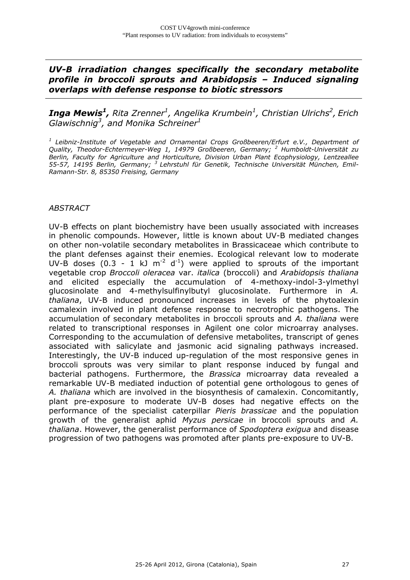## *UV-B irradiation changes specifically the secondary metabolite profile in broccoli sprouts and Arabidopsis – Induced signaling overlaps with defense response to biotic stressors*

 $\boldsymbol{I}$ nga Mewis<sup>1</sup>, Rita Zrenner<sup>1</sup>, Angelika Krumbein<sup>1</sup>, Christian Ulrichs<sup>2</sup>, Erich *Glawischnig3 , and Monika Schreiner1*

<sup>1</sup> Leibniz-Institute of Vegetable and Ornamental Crops Großbeeren/Erfurt e.V., Department of *Quality, Theodor-Echtermeyer-Weg 1, 14979 Großbeeren, Germany; <sup>2</sup> Humboldt-Universität zu Berlin, Faculty for Agriculture and Horticulture, Division Urban Plant Ecophysiology, Lentzeallee 55-57, 14195 Berlin, Germany; 3 Lehrstuhl für Genetik, Technische Universität München, Emil-Ramann-Str. 8, 85350 Freising, Germany* 

#### *ABSTRACT*

UV-B effects on plant biochemistry have been usually associated with increases in phenolic compounds. However, little is known about UV-B mediated changes on other non-volatile secondary metabolites in Brassicaceae which contribute to the plant defenses against their enemies. Ecological relevant low to moderate UV-B doses (0.3 - 1 kJ  $m^{-2}$  d<sup>-1</sup>) were applied to sprouts of the important vegetable crop *Broccoli oleracea* var. *italica* (broccoli) and *Arabidopsis thaliana*  and elicited especially the accumulation of 4-methoxy-indol-3-ylmethyl glucosinolate and 4-methylsulfinylbutyl glucosinolate. Furthermore in *A. thaliana*, UV-B induced pronounced increases in levels of the phytoalexin camalexin involved in plant defense response to necrotrophic pathogens. The accumulation of secondary metabolites in broccoli sprouts and *A. thaliana* were related to transcriptional responses in Agilent one color microarray analyses. Corresponding to the accumulation of defensive metabolites, transcript of genes associated with salicylate and jasmonic acid signaling pathways increased. Interestingly, the UV-B induced up-regulation of the most responsive genes in broccoli sprouts was very similar to plant response induced by fungal and bacterial pathogens. Furthermore, the *Brassica* microarray data revealed a remarkable UV-B mediated induction of potential gene orthologous to genes of *A. thaliana* which are involved in the biosynthesis of camalexin. Concomitantly, plant pre-exposure to moderate UV-B doses had negative effects on the performance of the specialist caterpillar *Pieris brassicae* and the population growth of the generalist aphid *Myzus persicae* in broccoli sprouts and *A. thaliana*. However, the generalist performance of *Spodoptera exigua* and disease progression of two pathogens was promoted after plants pre-exposure to UV-B.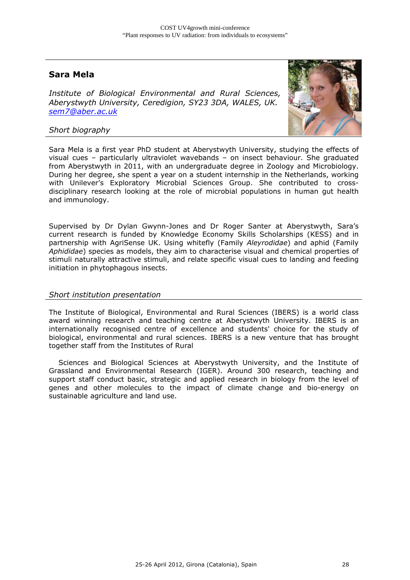## **Sara Mela**

*Institute of Biological Environmental and Rural Sciences, Aberystwyth University, Ceredigion, SY23 3DA, WALES, UK. sem7@aber.ac.uk*



#### *Short biography*

Sara Mela is a first year PhD student at Aberystwyth University, studying the effects of visual cues – particularly ultraviolet wavebands – on insect behaviour. She graduated from Aberystwyth in 2011, with an undergraduate degree in Zoology and Microbiology. During her degree, she spent a year on a student internship in the Netherlands, working with Unilever's Exploratory Microbial Sciences Group. She contributed to crossdisciplinary research looking at the role of microbial populations in human gut health and immunology.

Supervised by Dr Dylan Gwynn-Jones and Dr Roger Santer at Aberystwyth, Sara's current research is funded by Knowledge Economy Skills Scholarships (KESS) and in partnership with AgriSense UK. Using whitefly (Family *Aleyrodidae*) and aphid (Family *Aphididae*) species as models, they aim to characterise visual and chemical properties of stimuli naturally attractive stimuli, and relate specific visual cues to landing and feeding initiation in phytophagous insects.

#### *Short institution presentation*

The Institute of Biological, Environmental and Rural Sciences (IBERS) is a world class award winning research and teaching centre at Aberystwyth University. IBERS is an internationally recognised centre of excellence and students' choice for the study of biological, environmental and rural sciences. IBERS is a new venture that has brought together staff from the Institutes of Rural

 Sciences and Biological Sciences at Aberystwyth University, and the Institute of Grassland and Environmental Research (IGER). Around 300 research, teaching and support staff conduct basic, strategic and applied research in biology from the level of genes and other molecules to the impact of climate change and bio-energy on sustainable agriculture and land use.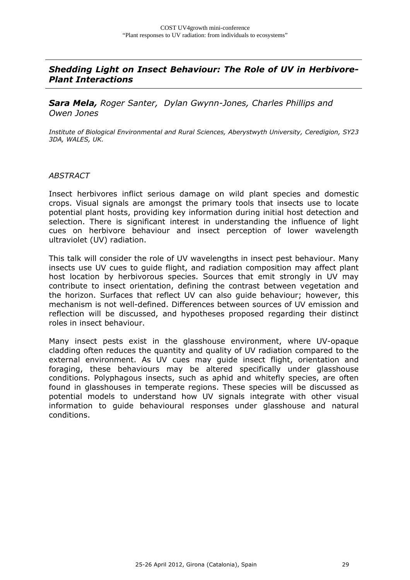## *Shedding Light on Insect Behaviour: The Role of UV in Herbivore-Plant Interactions*

*Sara Mela, Roger Santer, Dylan Gwynn-Jones, Charles Phillips and Owen Jones* 

*Institute of Biological Environmental and Rural Sciences, Aberystwyth University, Ceredigion, SY23 3DA, WALES, UK.* 

#### *ABSTRACT*

Insect herbivores inflict serious damage on wild plant species and domestic crops. Visual signals are amongst the primary tools that insects use to locate potential plant hosts, providing key information during initial host detection and selection. There is significant interest in understanding the influence of light cues on herbivore behaviour and insect perception of lower wavelength ultraviolet (UV) radiation.

This talk will consider the role of UV wavelengths in insect pest behaviour. Many insects use UV cues to guide flight, and radiation composition may affect plant host location by herbivorous species. Sources that emit strongly in UV may contribute to insect orientation, defining the contrast between vegetation and the horizon. Surfaces that reflect UV can also guide behaviour; however, this mechanism is not well-defined. Differences between sources of UV emission and reflection will be discussed, and hypotheses proposed regarding their distinct roles in insect behaviour.

Many insect pests exist in the glasshouse environment, where UV-opaque cladding often reduces the quantity and quality of UV radiation compared to the external environment. As UV cues may guide insect flight, orientation and foraging, these behaviours may be altered specifically under glasshouse conditions. Polyphagous insects, such as aphid and whitefly species, are often found in glasshouses in temperate regions. These species will be discussed as potential models to understand how UV signals integrate with other visual information to guide behavioural responses under glasshouse and natural conditions.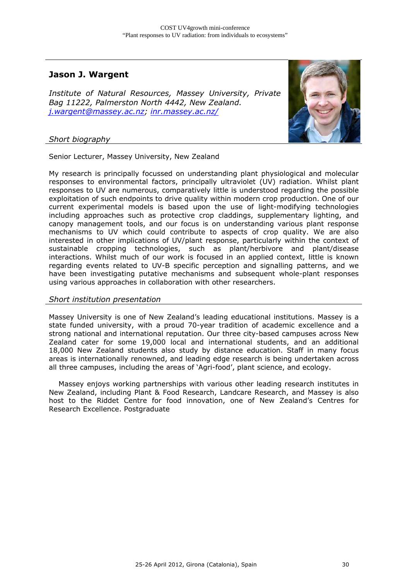## **Jason J. Wargent**

*Institute of Natural Resources, Massey University, Private Bag 11222, Palmerston North 4442, New Zealand. j.wargent@massey.ac.nz; inr.massey.ac.nz/*



#### *Short biography*

Senior Lecturer, Massey University, New Zealand

My research is principally focussed on understanding plant physiological and molecular responses to environmental factors, principally ultraviolet (UV) radiation. Whilst plant responses to UV are numerous, comparatively little is understood regarding the possible exploitation of such endpoints to drive quality within modern crop production. One of our current experimental models is based upon the use of light-modifying technologies including approaches such as protective crop claddings, supplementary lighting, and canopy management tools, and our focus is on understanding various plant response mechanisms to UV which could contribute to aspects of crop quality. We are also interested in other implications of UV/plant response, particularly within the context of sustainable cropping technologies, such as plant/herbivore and plant/disease interactions. Whilst much of our work is focused in an applied context, little is known regarding events related to UV-B specific perception and signalling patterns, and we have been investigating putative mechanisms and subsequent whole-plant responses using various approaches in collaboration with other researchers.

#### *Short institution presentation*

Massey University is one of New Zealand's leading educational institutions. Massey is a state funded university, with a proud 70-year tradition of academic excellence and a strong national and international reputation. Our three city-based campuses across New Zealand cater for some 19,000 local and international students, and an additional 18,000 New Zealand students also study by distance education. Staff in many focus areas is internationally renowned, and leading edge research is being undertaken across all three campuses, including the areas of 'Agri-food', plant science, and ecology.

 Massey enjoys working partnerships with various other leading research institutes in New Zealand, including Plant & Food Research, Landcare Research, and Massey is also host to the Riddet Centre for food innovation, one of New Zealand's Centres for Research Excellence. Postgraduate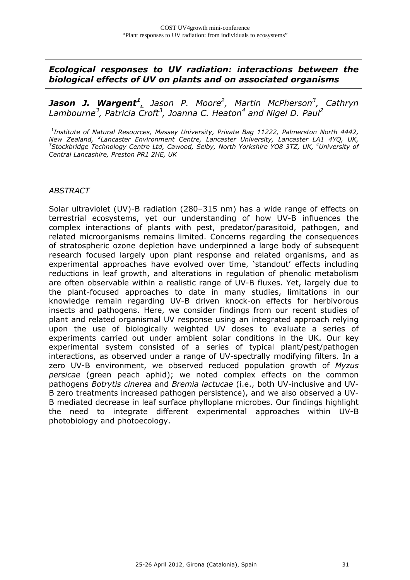## *Ecological responses to UV radiation: interactions between the biological effects of UV on plants and on associated organisms*

*Jason J. Wargent<sup>1</sup>, Jason P. Moore2 , Martin McPherson3 , Cathryn Lambourne3 , Patricia Croft3 , Joanna C. Heaton<sup>4</sup> and Nigel D. Paul2*

*1 Institute of Natural Resources, Massey University, Private Bag 11222, Palmerston North 4442, New Zealand, <sup>2</sup> Lancaster Environment Centre, Lancaster University, Lancaster LA1 4YQ, UK,*  <sup>3</sup>Stockbridge Technology Centre Ltd, Cawood, Selby, North Yorkshire YO8 3TZ, UK, <sup>4</sup>University of *Central Lancashire, Preston PR1 2HE, UK* 

#### *ABSTRACT*

Solar ultraviolet (UV)-B radiation (280–315 nm) has a wide range of effects on terrestrial ecosystems, yet our understanding of how UV-B influences the complex interactions of plants with pest, predator/parasitoid, pathogen, and related microorganisms remains limited. Concerns regarding the consequences of stratospheric ozone depletion have underpinned a large body of subsequent research focused largely upon plant response and related organisms, and as experimental approaches have evolved over time, 'standout' effects including reductions in leaf growth, and alterations in regulation of phenolic metabolism are often observable within a realistic range of UV-B fluxes. Yet, largely due to the plant-focused approaches to date in many studies, limitations in our knowledge remain regarding UV-B driven knock-on effects for herbivorous insects and pathogens. Here, we consider findings from our recent studies of plant and related organismal UV response using an integrated approach relying upon the use of biologically weighted UV doses to evaluate a series of experiments carried out under ambient solar conditions in the UK. Our key experimental system consisted of a series of typical plant/pest/pathogen interactions, as observed under a range of UV-spectrally modifying filters. In a zero UV-B environment, we observed reduced population growth of *Myzus persicae* (green peach aphid); we noted complex effects on the common pathogens *Botrytis cinerea* and *Bremia lactucae* (i.e., both UV-inclusive and UV-B zero treatments increased pathogen persistence), and we also observed a UV-B mediated decrease in leaf surface phylloplane microbes. Our findings highlight the need to integrate different experimental approaches within UV-B photobiology and photoecology.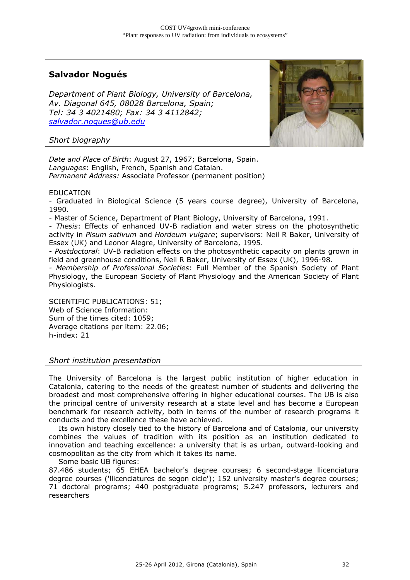## **Salvador Nogués**

*Department of Plant Biology, University of Barcelona, Av. Diagonal 645, 08028 Barcelona, Spain; Tel: 34 3 4021480; Fax: 34 3 4112842; salvador.nogues@ub.edu*



#### *Short biography*

*Date and Place of Birth*: August 27, 1967; Barcelona, Spain. *Languages*: English, French, Spanish and Catalan. *Permanent Address:* Associate Professor (permanent position)

#### EDUCATION

- Graduated in Biological Science (5 years course degree), University of Barcelona, 1990.

- Master of Science, Department of Plant Biology, University of Barcelona, 1991.

*- Thesis*: Effects of enhanced UV-B radiation and water stress on the photosynthetic activity in *Pisum sativum* and *Hordeum vulgare*; supervisors: Neil R Baker, University of Essex (UK) and Leonor Alegre, University of Barcelona, 1995.

*- Postdoctoral*: UV-B radiation effects on the photosynthetic capacity on plants grown in field and greenhouse conditions, Neil R Baker, University of Essex (UK), 1996-98.

*- Membership of Professional Societies*: Full Member of the Spanish Society of Plant Physiology, the European Society of Plant Physiology and the American Society of Plant Physiologists.

SCIENTIFIC PUBLICATIONS: 51; Web of Science Information: Sum of the times cited: 1059; Average citations per item: 22.06; h-index: 21

*Short institution presentation* 

The University of Barcelona is the largest public institution of higher education in Catalonia, catering to the needs of the greatest number of students and delivering the broadest and most comprehensive offering in higher educational courses. The UB is also the principal centre of university research at a state level and has become a European benchmark for research activity, both in terms of the number of research programs it conducts and the excellence these have achieved.

 Its own history closely tied to the history of Barcelona and of Catalonia, our university combines the values of tradition with its position as an institution dedicated to innovation and teaching excellence: a university that is as urban, outward-looking and cosmopolitan as the city from which it takes its name.

Some basic UB figures:

87.486 students; 65 EHEA bachelor's degree courses; 6 second-stage llicenciatura degree courses ('llicenciatures de segon cicle'); 152 university master's degree courses; 71 doctoral programs; 440 postgraduate programs; 5.247 professors, lecturers and researchers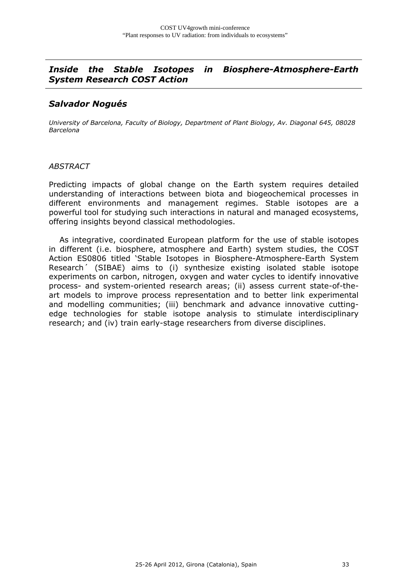## *Inside the Stable Isotopes in Biosphere-Atmosphere-Earth System Research COST Action*

## *Salvador Nogués*

*University of Barcelona, Faculty of Biology, Department of Plant Biology, Av. Diagonal 645, 08028 Barcelona* 

#### *ABSTRACT*

Predicting impacts of global change on the Earth system requires detailed understanding of interactions between biota and biogeochemical processes in different environments and management regimes. Stable isotopes are a powerful tool for studying such interactions in natural and managed ecosystems, offering insights beyond classical methodologies.

 As integrative, coordinated European platform for the use of stable isotopes in different (i.e. biosphere, atmosphere and Earth) system studies, the COST Action ES0806 titled 'Stable Isotopes in Biosphere-Atmosphere-Earth System Research´ (SIBAE) aims to (i) synthesize existing isolated stable isotope experiments on carbon, nitrogen, oxygen and water cycles to identify innovative process- and system-oriented research areas; (ii) assess current state-of-theart models to improve process representation and to better link experimental and modelling communities; (iii) benchmark and advance innovative cuttingedge technologies for stable isotope analysis to stimulate interdisciplinary research; and (iv) train early-stage researchers from diverse disciplines.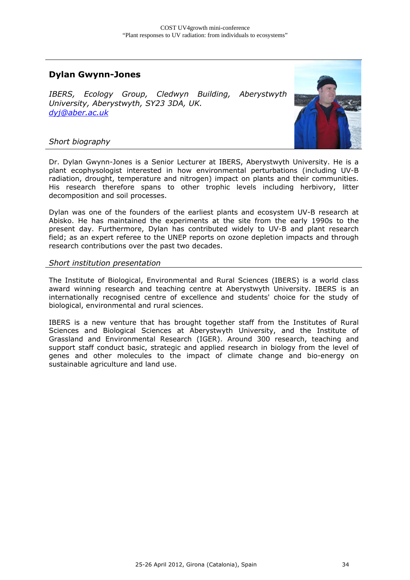## **Dylan Gwynn-Jones**

*IBERS, Ecology Group, Cledwyn Building, Aberystwyth University, Aberystwyth, SY23 3DA, UK. dyj@aber.ac.uk* 



#### *Short biography*

Dr. Dylan Gwynn-Jones is a Senior Lecturer at IBERS, Aberystwyth University. He is a plant ecophysologist interested in how environmental perturbations (including UV-B radiation, drought, temperature and nitrogen) impact on plants and their communities. His research therefore spans to other trophic levels including herbivory, litter decomposition and soil processes.

Dylan was one of the founders of the earliest plants and ecosystem UV-B research at Abisko. He has maintained the experiments at the site from the early 1990s to the present day. Furthermore, Dylan has contributed widely to UV-B and plant research field; as an expert referee to the UNEP reports on ozone depletion impacts and through research contributions over the past two decades.

#### *Short institution presentation*

The Institute of Biological, Environmental and Rural Sciences (IBERS) is a world class award winning research and teaching centre at Aberystwyth University. IBERS is an internationally recognised centre of excellence and students' choice for the study of biological, environmental and rural sciences.

IBERS is a new venture that has brought together staff from the Institutes of Rural Sciences and Biological Sciences at Aberystwyth University, and the Institute of Grassland and Environmental Research (IGER). Around 300 research, teaching and support staff conduct basic, strategic and applied research in biology from the level of genes and other molecules to the impact of climate change and bio-energy on sustainable agriculture and land use.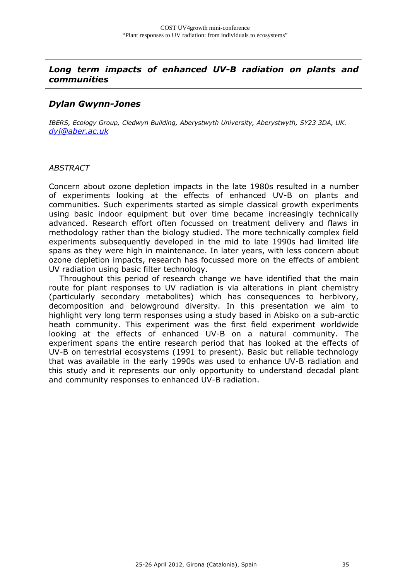## *Long term impacts of enhanced UV-B radiation on plants and communities*

### *Dylan Gwynn-Jones*

*IBERS, Ecology Group, Cledwyn Building, Aberystwyth University, Aberystwyth, SY23 3DA, UK. dyj@aber.ac.uk* 

#### *ABSTRACT*

Concern about ozone depletion impacts in the late 1980s resulted in a number of experiments looking at the effects of enhanced UV-B on plants and communities. Such experiments started as simple classical growth experiments using basic indoor equipment but over time became increasingly technically advanced. Research effort often focussed on treatment delivery and flaws in methodology rather than the biology studied. The more technically complex field experiments subsequently developed in the mid to late 1990s had limited life spans as they were high in maintenance. In later years, with less concern about ozone depletion impacts, research has focussed more on the effects of ambient UV radiation using basic filter technology.

 Throughout this period of research change we have identified that the main route for plant responses to UV radiation is via alterations in plant chemistry (particularly secondary metabolites) which has consequences to herbivory, decomposition and belowground diversity. In this presentation we aim to highlight very long term responses using a study based in Abisko on a sub-arctic heath community. This experiment was the first field experiment worldwide looking at the effects of enhanced UV-B on a natural community. The experiment spans the entire research period that has looked at the effects of UV-B on terrestrial ecosystems (1991 to present). Basic but reliable technology that was available in the early 1990s was used to enhance UV-B radiation and this study and it represents our only opportunity to understand decadal plant and community responses to enhanced UV-B radiation.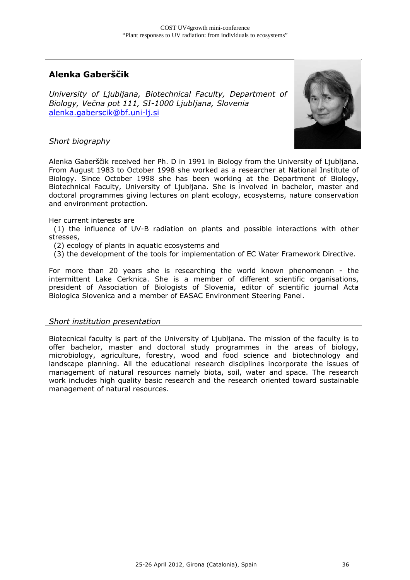## **Alenka Gaberščik**

*University of Ljubljana, Biotechnical Faculty, Department of Biology, Večna pot 111, SI-1000 Ljubljana, Slovenia*  alenka.gaberscik@bf.uni-li.si



#### *Short biography*

Alenka Gaberščik received her Ph. D in 1991 in Biology from the University of Ljubljana. From August 1983 to October 1998 she worked as a researcher at National Institute of Biology. Since October 1998 she has been working at the Department of Biology, Biotechnical Faculty, University of Ljubljana. She is involved in bachelor, master and doctoral programmes giving lectures on plant ecology, ecosystems, nature conservation and environment protection.

Her current interests are

 (1) the influence of UV-B radiation on plants and possible interactions with other stresses,

- (2) ecology of plants in aquatic ecosystems and
- (3) the development of the tools for implementation of EC Water Framework Directive.

For more than 20 years she is researching the world known phenomenon - the intermittent Lake Cerknica. She is a member of different scientific organisations, president of Association of Biologists of Slovenia, editor of scientific journal Acta Biologica Slovenica and a member of EASAC Environment Steering Panel.

#### *Short institution presentation*

Biotecnical faculty is part of the University of Ljubljana. The mission of the faculty is to offer bachelor, master and doctoral study programmes in the areas of biology, microbiology, agriculture, forestry, wood and food science and biotechnology and landscape planning. All the educational research disciplines incorporate the issues of management of natural resources namely biota, soil, water and space. The research work includes high quality basic research and the research oriented toward sustainable management of natural resources.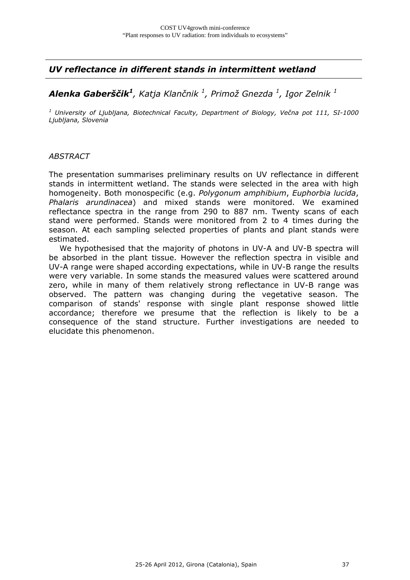## *UV reflectance in different stands in intermittent wetland*

## *Alenka Gaberščik1, Katja Klančnik 1 , Primož Gnezda 1 , Igor Zelnik 1*

*1 University of Ljubljana, Biotechnical Faculty, Department of Biology, Večna pot 111, SI-1000 Ljubljana, Slovenia* 

#### *ABSTRACT*

The presentation summarises preliminary results on UV reflectance in different stands in intermittent wetland. The stands were selected in the area with high homogeneity. Both monospecific (e.g. *Polygonum amphibium*, *Euphorbia lucida*, *Phalaris arundinacea*) and mixed stands were monitored. We examined reflectance spectra in the range from 290 to 887 nm. Twenty scans of each stand were performed. Stands were monitored from 2 to 4 times during the season. At each sampling selected properties of plants and plant stands were estimated.

 We hypothesised that the majority of photons in UV-A and UV-B spectra will be absorbed in the plant tissue. However the reflection spectra in visible and UV-A range were shaped according expectations, while in UV-B range the results were very variable. In some stands the measured values were scattered around zero, while in many of them relatively strong reflectance in UV-B range was observed. The pattern was changing during the vegetative season. The comparison of stands' response with single plant response showed little accordance; therefore we presume that the reflection is likely to be a consequence of the stand structure. Further investigations are needed to elucidate this phenomenon.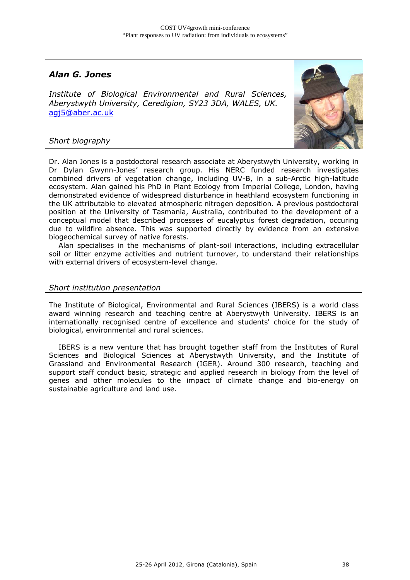## *Alan G. Jones*

*Institute of Biological Environmental and Rural Sciences, Aberystwyth University, Ceredigion, SY23 3DA, WALES, UK.*  agj5@aber.ac.uk



#### *Short biography*

Dr. Alan Jones is a postdoctoral research associate at Aberystwyth University, working in Dr Dylan Gwynn-Jones' research group. His NERC funded research investigates combined drivers of vegetation change, including UV-B, in a sub-Arctic high-latitude ecosystem. Alan gained his PhD in Plant Ecology from Imperial College, London, having demonstrated evidence of widespread disturbance in heathland ecosystem functioning in the UK attributable to elevated atmospheric nitrogen deposition. A previous postdoctoral position at the University of Tasmania, Australia, contributed to the development of a conceptual model that described processes of eucalyptus forest degradation, occuring due to wildfire absence. This was supported directly by evidence from an extensive biogeochemical survey of native forests.

 Alan specialises in the mechanisms of plant-soil interactions, including extracellular soil or litter enzyme activities and nutrient turnover, to understand their relationships with external drivers of ecosystem-level change.

#### *Short institution presentation*

The Institute of Biological, Environmental and Rural Sciences (IBERS) is a world class award winning research and teaching centre at Aberystwyth University. IBERS is an internationally recognised centre of excellence and students' choice for the study of biological, environmental and rural sciences.

 IBERS is a new venture that has brought together staff from the Institutes of Rural Sciences and Biological Sciences at Aberystwyth University, and the Institute of Grassland and Environmental Research (IGER). Around 300 research, teaching and support staff conduct basic, strategic and applied research in biology from the level of genes and other molecules to the impact of climate change and bio-energy on sustainable agriculture and land use.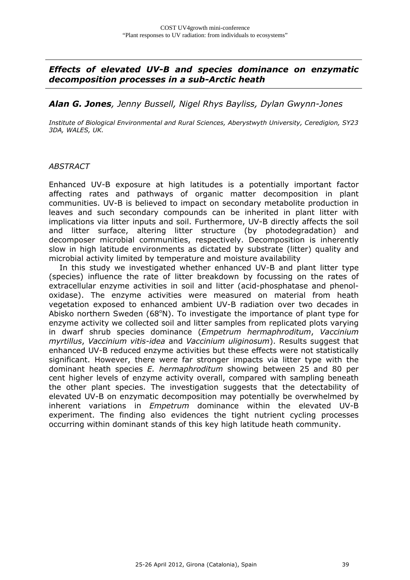## *Effects of elevated UV-B and species dominance on enzymatic decomposition processes in a sub-Arctic heath*

#### *Alan G. Jones, Jenny Bussell, Nigel Rhys Bayliss, Dylan Gwynn-Jones*

*Institute of Biological Environmental and Rural Sciences, Aberystwyth University, Ceredigion, SY23 3DA, WALES, UK.* 

#### *ABSTRACT*

Enhanced UV-B exposure at high latitudes is a potentially important factor affecting rates and pathways of organic matter decomposition in plant communities. UV-B is believed to impact on secondary metabolite production in leaves and such secondary compounds can be inherited in plant litter with implications via litter inputs and soil. Furthermore, UV-B directly affects the soil and litter surface, altering litter structure (by photodegradation) and decomposer microbial communities, respectively. Decomposition is inherently slow in high latitude environments as dictated by substrate (litter) quality and microbial activity limited by temperature and moisture availability

 In this study we investigated whether enhanced UV-B and plant litter type (species) influence the rate of litter breakdown by focussing on the rates of extracellular enzyme activities in soil and litter (acid-phosphatase and phenoloxidase). The enzyme activities were measured on material from heath vegetation exposed to enhanced ambient UV-B radiation over two decades in Abisko northern Sweden (68°N). To investigate the importance of plant type for enzyme activity we collected soil and litter samples from replicated plots varying in dwarf shrub species dominance (*Empetrum hermaphroditum*, *Vaccinium myrtillus*, *Vaccinium vitis-idea* and *Vaccinium uliginosum*). Results suggest that enhanced UV-B reduced enzyme activities but these effects were not statistically significant. However, there were far stronger impacts via litter type with the dominant heath species *E. hermaphroditum* showing between 25 and 80 per cent higher levels of enzyme activity overall, compared with sampling beneath the other plant species. The investigation suggests that the detectability of elevated UV-B on enzymatic decomposition may potentially be overwhelmed by inherent variations in *Empetrum* dominance within the elevated UV-B experiment. The finding also evidences the tight nutrient cycling processes occurring within dominant stands of this key high latitude heath community.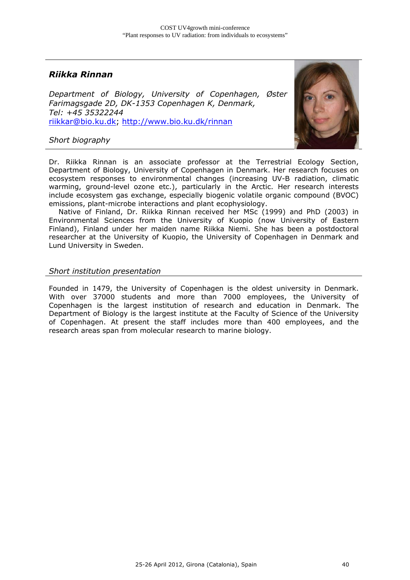## *Riikka Rinnan*

*Department of Biology, University of Copenhagen, Øster Farimagsgade 2D, DK-1353 Copenhagen K, Denmark, Tel: +45 35322244*  riikkar@bio.ku.dk; http://www.bio.ku.dk/rinnan



#### *Short biography*

Dr. Riikka Rinnan is an associate professor at the Terrestrial Ecology Section, Department of Biology, University of Copenhagen in Denmark. Her research focuses on ecosystem responses to environmental changes (increasing UV-B radiation, climatic warming, ground-level ozone etc.), particularly in the Arctic. Her research interests include ecosystem gas exchange, especially biogenic volatile organic compound (BVOC) emissions, plant-microbe interactions and plant ecophysiology.

 Native of Finland, Dr. Riikka Rinnan received her MSc (1999) and PhD (2003) in Environmental Sciences from the University of Kuopio (now University of Eastern Finland), Finland under her maiden name Riikka Niemi. She has been a postdoctoral researcher at the University of Kuopio, the University of Copenhagen in Denmark and Lund University in Sweden.

#### *Short institution presentation*

Founded in 1479, the University of Copenhagen is the oldest university in Denmark. With over 37000 students and more than 7000 employees, the University of Copenhagen is the largest institution of research and education in Denmark. The Department of Biology is the largest institute at the Faculty of Science of the University of Copenhagen. At present the staff includes more than 400 employees, and the research areas span from molecular research to marine biology.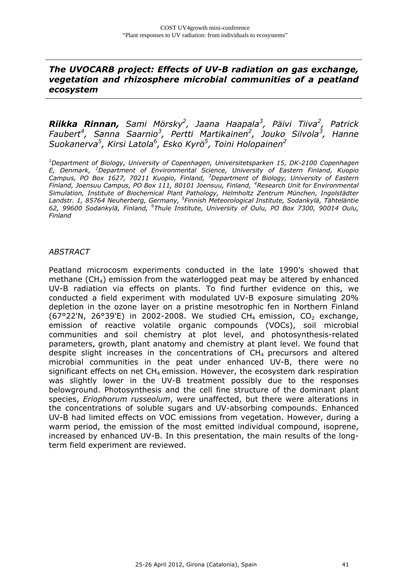## *The UVOCARB project: Effects of UV-B radiation on gas exchange, vegetation and rhizosphere microbial communities of a peatland ecosystem*

*Riikka Rinnan, Sami Mörsky2 , Jaana Haapala3 , Päivi Tiiva<sup>2</sup> , Patrick Faubert4 , Sanna Saarnio3 , Pertti Martikainen2 , Jouko Silvola3 , Hanne Suokanerva5 , Kirsi Latola6 , Esko Kyrö5 , Toini Holopainen<sup>2</sup>*

*1 Department of Biology, University of Copenhagen, Universitetsparken 15, DK-2100 Copenhagen E, Denmark, <sup>2</sup> Department of Environmental Science, University of Eastern Finland, Kuopio*  Campus, PO Box 1627, 70211 Kuopio, Finland, <sup>3</sup>Department of Biology, University of Eastern *Finland, Joensuu Campus, PO Box 111, 80101 Joensuu, Finland, 4Research Unit for Environmental Simulation, Institute of Biochemical Plant Pathology, Helmholtz Zentrum München, Ingolstädter Landstr. 1, 85764 Neuherberg, Germany, <sup>5</sup> Finnish Meteorological Institute, Sodankylä, Tähteläntie 62, 99600 Sodankylä, Finland, <sup>6</sup> Thule Institute, University of Oulu, PO Box 7300, 90014 Oulu, Finland*

#### *ABSTRACT*

Peatland microcosm experiments conducted in the late 1990's showed that methane (CH4) emission from the waterlogged peat may be altered by enhanced UV-B radiation via effects on plants. To find further evidence on this, we conducted a field experiment with modulated UV-B exposure simulating 20% depletion in the ozone layer on a pristine mesotrophic fen in Northern Finland (67°22'N, 26°39'E) in 2002-2008. We studied  $CH_4$  emission,  $CO_2$  exchange, emission of reactive volatile organic compounds (VOCs), soil microbial communities and soil chemistry at plot level, and photosynthesis-related parameters, growth, plant anatomy and chemistry at plant level. We found that despite slight increases in the concentrations of  $CH<sub>4</sub>$  precursors and altered microbial communities in the peat under enhanced UV-B, there were no significant effects on net  $CH_4$  emission. However, the ecosystem dark respiration was slightly lower in the UV-B treatment possibly due to the responses belowground. Photosynthesis and the cell fine structure of the dominant plant species, *Eriophorum russeolum*, were unaffected, but there were alterations in the concentrations of soluble sugars and UV-absorbing compounds. Enhanced UV-B had limited effects on VOC emissions from vegetation. However, during a warm period, the emission of the most emitted individual compound, isoprene, increased by enhanced UV-B. In this presentation, the main results of the longterm field experiment are reviewed.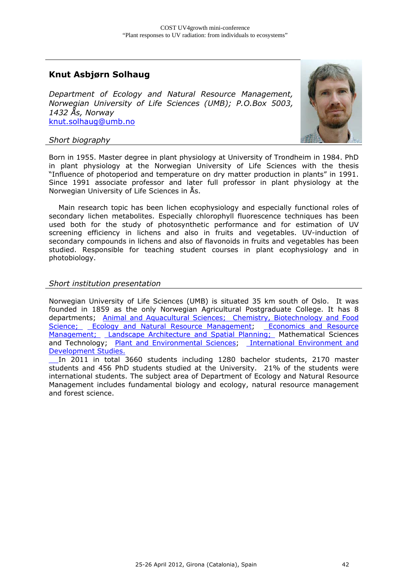## **Knut Asbjørn Solhaug**

*Department of Ecology and Natural Resource Management, Norwegian University of Life Sciences (UMB); P.O.Box 5003, 1432 Ås, Norway*  knut.solhaug@umb.no



#### *Short biography*

Born in 1955. Master degree in plant physiology at University of Trondheim in 1984. PhD in plant physiology at the Norwegian University of Life Sciences with the thesis "Influence of photoperiod and temperature on dry matter production in plants" in 1991. Since 1991 associate professor and later full professor in plant physiology at the Norwegian University of Life Sciences in Ås.

 Main research topic has been lichen ecophysiology and especially functional roles of secondary lichen metabolites. Especially chlorophyll fluorescence techniques has been used both for the study of photosynthetic performance and for estimation of UV screening efficiency in lichens and also in fruits and vegetables. UV-induction of secondary compounds in lichens and also of flavonoids in fruits and vegetables has been studied. Responsible for teaching student courses in plant ecophysiology and in photobiology.

#### *Short institution presentation*

Norwegian University of Life Sciences (UMB) is situated 35 km south of Oslo. It was founded in 1859 as the only Norwegian Agricultural Postgraduate College. It has 8 departments; Animal and Aquacultural Sciences; Chemistry, Biotechnology and Food Science; Ecology and Natural Resource Management; Economics and Resource Management; Landscape Architecture and Spatial Planning; Mathematical Sciences and Technology; Plant and Environmental Sciences; International Environment and Development Studies.

 In 2011 in total 3660 students including 1280 bachelor students, 2170 master students and 456 PhD students studied at the University. 21% of the students were international students. The subject area of Department of Ecology and Natural Resource Management includes fundamental biology and ecology, natural resource management and forest science.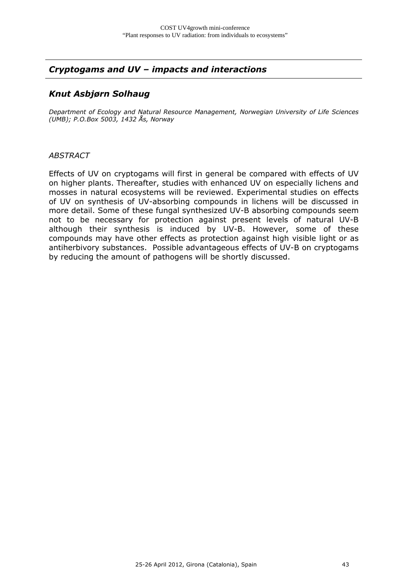## *Cryptogams and UV – impacts and interactions*

## *Knut Asbjørn Solhaug*

*Department of Ecology and Natural Resource Management, Norwegian University of Life Sciences (UMB); P.O.Box 5003, 1432 Ås, Norway* 

#### *ABSTRACT*

Effects of UV on cryptogams will first in general be compared with effects of UV on higher plants. Thereafter, studies with enhanced UV on especially lichens and mosses in natural ecosystems will be reviewed. Experimental studies on effects of UV on synthesis of UV-absorbing compounds in lichens will be discussed in more detail. Some of these fungal synthesized UV-B absorbing compounds seem not to be necessary for protection against present levels of natural UV-B although their synthesis is induced by UV-B. However, some of these compounds may have other effects as protection against high visible light or as antiherbivory substances. Possible advantageous effects of UV-B on cryptogams by reducing the amount of pathogens will be shortly discussed.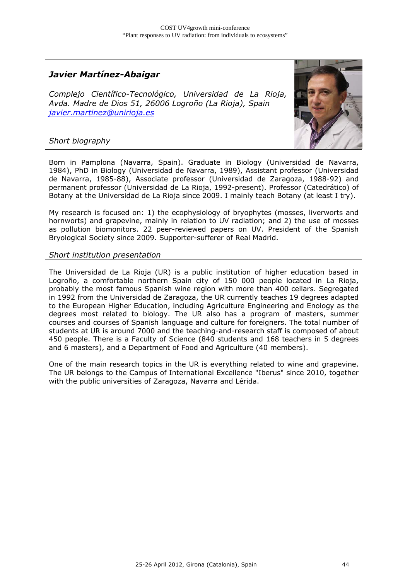## *Javier Martínez-Abaigar*

*Complejo Científico-Tecnológico, Universidad de La Rioja, Avda. Madre de Dios 51, 26006 Logroño (La Rioja), Spain javier.martinez@unirioja.es*



#### *Short biography*

Born in Pamplona (Navarra, Spain). Graduate in Biology (Universidad de Navarra, 1984), PhD in Biology (Universidad de Navarra, 1989), Assistant professor (Universidad de Navarra, 1985-88), Associate professor (Universidad de Zaragoza, 1988-92) and permanent professor (Universidad de La Rioja, 1992-present). Professor (Catedrático) of Botany at the Universidad de La Rioja since 2009. I mainly teach Botany (at least I try).

My research is focused on: 1) the ecophysiology of bryophytes (mosses, liverworts and hornworts) and grapevine, mainly in relation to UV radiation; and 2) the use of mosses as pollution biomonitors. 22 peer-reviewed papers on UV. President of the Spanish Bryological Society since 2009. Supporter-sufferer of Real Madrid.

#### *Short institution presentation*

The Universidad de La Rioja (UR) is a public institution of higher education based in Logroño, a comfortable northern Spain city of 150 000 people located in La Rioja, probably the most famous Spanish wine region with more than 400 cellars. Segregated in 1992 from the Universidad de Zaragoza, the UR currently teaches 19 degrees adapted to the European Higher Education, including Agriculture Engineering and Enology as the degrees most related to biology. The UR also has a program of masters, summer courses and courses of Spanish language and culture for foreigners. The total number of students at UR is around 7000 and the teaching-and-research staff is composed of about 450 people. There is a Faculty of Science (840 students and 168 teachers in 5 degrees and 6 masters), and a Department of Food and Agriculture (40 members).

One of the main research topics in the UR is everything related to wine and grapevine. The UR belongs to the Campus of International Excellence "Iberus" since 2010, together with the public universities of Zaragoza, Navarra and Lérida.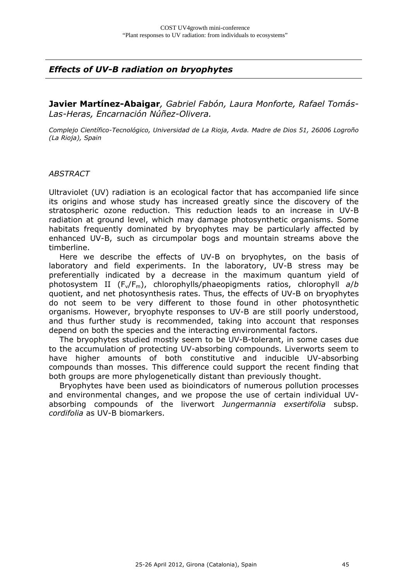## *Effects of UV-B radiation on bryophytes*

**Javier Martínez-Abaigar***, Gabriel Fabón, Laura Monforte, Rafael Tomás-Las-Heras, Encarnación Núñez-Olivera.* 

*Complejo Científico-Tecnológico, Universidad de La Rioja, Avda. Madre de Dios 51, 26006 Logroño (La Rioja), Spain* 

#### *ABSTRACT*

Ultraviolet (UV) radiation is an ecological factor that has accompanied life since its origins and whose study has increased greatly since the discovery of the stratospheric ozone reduction. This reduction leads to an increase in UV-B radiation at ground level, which may damage photosynthetic organisms. Some habitats frequently dominated by bryophytes may be particularly affected by enhanced UV-B, such as circumpolar bogs and mountain streams above the timberline.

 Here we describe the effects of UV-B on bryophytes, on the basis of laboratory and field experiments. In the laboratory, UV-B stress may be preferentially indicated by a decrease in the maximum quantum yield of photosystem II (Fv/Fm), chlorophylls/phaeopigments ratios, chlorophyll *a*/*b* quotient, and net photosynthesis rates. Thus, the effects of UV-B on bryophytes do not seem to be very different to those found in other photosynthetic organisms. However, bryophyte responses to UV-B are still poorly understood, and thus further study is recommended, taking into account that responses depend on both the species and the interacting environmental factors.

 The bryophytes studied mostly seem to be UV-B-tolerant, in some cases due to the accumulation of protecting UV-absorbing compounds. Liverworts seem to have higher amounts of both constitutive and inducible UV-absorbing compounds than mosses. This difference could support the recent finding that both groups are more phylogenetically distant than previously thought.

 Bryophytes have been used as bioindicators of numerous pollution processes and environmental changes, and we propose the use of certain individual UVabsorbing compounds of the liverwort *Jungermannia exsertifolia* subsp. *cordifolia* as UV-B biomarkers.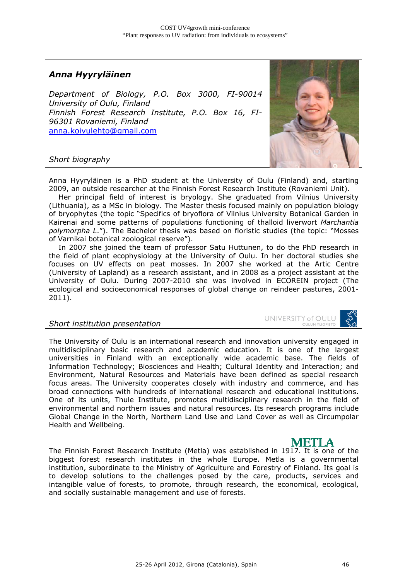## *Anna Hyyryläinen*

*Department of Biology, P.O. Box 3000, FI-90014 University of Oulu, Finland Finnish Forest Research Institute, P.O. Box 16, FI-96301 Rovaniemi, Finland*  anna.koivulehto@gmail.com



#### *Short biography*

Anna Hyyryläinen is a PhD student at the University of Oulu (Finland) and, starting 2009, an outside researcher at the Finnish Forest Research Institute (Rovaniemi Unit).

 Her principal field of interest is bryology. She graduated from Vilnius University (Lithuania), as a MSc in biology. The Master thesis focused mainly on population biology of bryophytes (the topic "Specifics of bryoflora of Vilnius University Botanical Garden in Kairenai and some patterns of populations functioning of thalloid liverwort *Marchantia polymorpha L*."). The Bachelor thesis was based on floristic studies (the topic: "Mosses of Varnikai botanical zoological reserve").

 In 2007 she joined the team of professor Satu Huttunen, to do the PhD research in the field of plant ecophysiology at the University of Oulu. In her doctoral studies she focuses on UV effects on peat mosses. In 2007 she worked at the Artic Centre (University of Lapland) as a research assistant, and in 2008 as a project assistant at the University of Oulu. During 2007-2010 she was involved in ECOREIN project (The ecological and socioeconomical responses of global change on reindeer pastures, 2001- 2011).

#### *Short institution presentation*

UNIVERSITY of OULU

The University of Oulu is an international research and innovation university engaged in multidisciplinary basic research and academic education. It is one of the largest universities in Finland with an exceptionally wide academic base. The fields of Information Technology; Biosciences and Health; Cultural Identity and Interaction; and Environment, Natural Resources and Materials have been defined as special research focus areas. The University cooperates closely with industry and commerce, and has broad connections with hundreds of international research and educational institutions. One of its units, Thule Institute, promotes multidisciplinary research in the field of environmental and northern issues and natural resources. Its research programs include Global Change in the North, Northern Land Use and Land Cover as well as Circumpolar Health and Wellbeing.

METI A The Finnish Forest Research Institute (Metla) was established in 1917. It is one of the biggest forest research institutes in the whole Europe. Metla is a governmental institution, subordinate to the Ministry of Agriculture and Forestry of Finland. Its goal is to develop solutions to the challenges posed by the care, products, services and intangible value of forests, to promote, through research, the economical, ecological, and socially sustainable management and use of forests.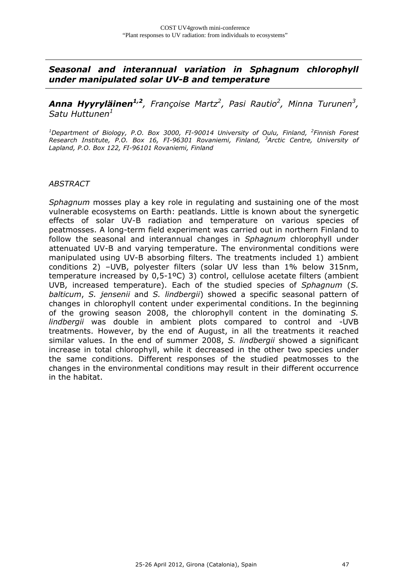*Seasonal and interannual variation in Sphagnum chlorophyll under manipulated solar UV-B and temperature* 

*Anna Hyyryläinen1,2, Françoise Martz2 , Pasi Rautio2 , Minna Turunen3 , Satu Huttunen<sup>1</sup>*

<sup>1</sup>Department of Biology, P.O. Box 3000, FI-90014 University of Oulu, Finland, <sup>2</sup>Finnish Forest *Research Institute, P.O. Box 16, FI-96301 Rovaniemi, Finland, <sup>3</sup> Arctic Centre, University of Lapland, P.O. Box 122, FI-96101 Rovaniemi, Finland* 

#### *ABSTRACT*

*Sphagnum* mosses play a key role in regulating and sustaining one of the most vulnerable ecosystems on Earth: peatlands. Little is known about the synergetic effects of solar UV-B radiation and temperature on various species of peatmosses. A long-term field experiment was carried out in northern Finland to follow the seasonal and interannual changes in *Sphagnum* chlorophyll under attenuated UV-B and varying temperature. The environmental conditions were manipulated using UV-B absorbing filters. The treatments included 1) ambient conditions 2) –UVB, polyester filters (solar UV less than 1% below 315nm, temperature increased by 0,5-1ºC) 3) control, cellulose acetate filters (ambient UVB, increased temperature). Each of the studied species of *Sphagnum* (*S. balticum*, *S. jensenii* and *S. lindbergii*) showed a specific seasonal pattern of changes in chlorophyll content under experimental conditions. In the beginning of the growing season 2008, the chlorophyll content in the dominating *S. lindbergii* was double in ambient plots compared to control and -UVB treatments. However, by the end of August, in all the treatments it reached similar values. In the end of summer 2008, *S. lindbergii* showed a significant increase in total chlorophyll, while it decreased in the other two species under the same conditions. Different responses of the studied peatmosses to the changes in the environmental conditions may result in their different occurrence in the habitat.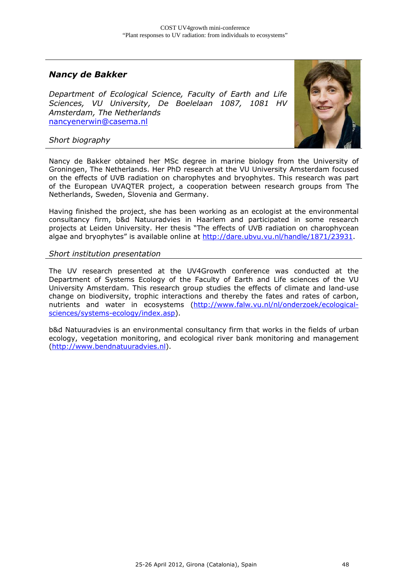## *Nancy de Bakker*

*Department of Ecological Science, Faculty of Earth and Life Sciences, VU University, De Boelelaan 1087, 1081 HV Amsterdam, The Netherlands*  nancyenerwin@casema.nl



*Short biography*

Nancy de Bakker obtained her MSc degree in marine biology from the University of Groningen, The Netherlands. Her PhD research at the VU University Amsterdam focused on the effects of UVB radiation on charophytes and bryophytes. This research was part of the European UVAQTER project, a cooperation between research groups from The Netherlands, Sweden, Slovenia and Germany.

Having finished the project, she has been working as an ecologist at the environmental consultancy firm, b&d Natuuradvies in Haarlem and participated in some research projects at Leiden University. Her thesis "The effects of UVB radiation on charophycean algae and bryophytes" is available online at http://dare.ubvu.vu.nl/handle/1871/23931.

#### *Short institution presentation*

The UV research presented at the UV4Growth conference was conducted at the Department of Systems Ecology of the Faculty of Earth and Life sciences of the VU University Amsterdam. This research group studies the effects of climate and land-use change on biodiversity, trophic interactions and thereby the fates and rates of carbon, nutrients and water in ecosystems (http://www.falw.vu.nl/nl/onderzoek/ecologicalsciences/systems-ecology/index.asp).

b&d Natuuradvies is an environmental consultancy firm that works in the fields of urban ecology, vegetation monitoring, and ecological river bank monitoring and management (http://www.bendnatuuradvies.nl).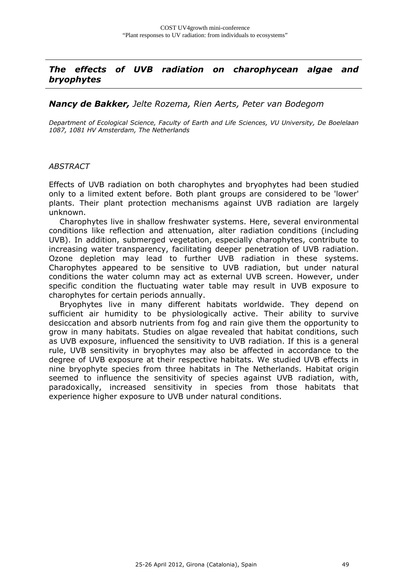## *The effects of UVB radiation on charophycean algae and bryophytes*

#### *Nancy de Bakker, Jelte Rozema, Rien Aerts, Peter van Bodegom*

*Department of Ecological Science, Faculty of Earth and Life Sciences, VU University, De Boelelaan 1087, 1081 HV Amsterdam, The Netherlands* 

#### *ABSTRACT*

Effects of UVB radiation on both charophytes and bryophytes had been studied only to a limited extent before. Both plant groups are considered to be 'lower' plants. Their plant protection mechanisms against UVB radiation are largely unknown.

 Charophytes live in shallow freshwater systems. Here, several environmental conditions like reflection and attenuation, alter radiation conditions (including UVB). In addition, submerged vegetation, especially charophytes, contribute to increasing water transparency, facilitating deeper penetration of UVB radiation. Ozone depletion may lead to further UVB radiation in these systems. Charophytes appeared to be sensitive to UVB radiation, but under natural conditions the water column may act as external UVB screen. However, under specific condition the fluctuating water table may result in UVB exposure to charophytes for certain periods annually.

 Bryophytes live in many different habitats worldwide. They depend on sufficient air humidity to be physiologically active. Their ability to survive desiccation and absorb nutrients from fog and rain give them the opportunity to grow in many habitats. Studies on algae revealed that habitat conditions, such as UVB exposure, influenced the sensitivity to UVB radiation. If this is a general rule, UVB sensitivity in bryophytes may also be affected in accordance to the degree of UVB exposure at their respective habitats. We studied UVB effects in nine bryophyte species from three habitats in The Netherlands. Habitat origin seemed to influence the sensitivity of species against UVB radiation, with, paradoxically, increased sensitivity in species from those habitats that experience higher exposure to UVB under natural conditions.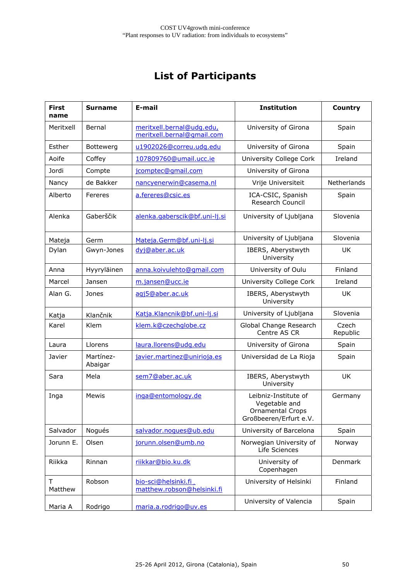# **List of Participants**

| <b>First</b><br>name | <b>Surname</b>       | E-mail                                                  | <b>Institution</b>                                                                  | Country           |
|----------------------|----------------------|---------------------------------------------------------|-------------------------------------------------------------------------------------|-------------------|
| Meritxell            | Bernal               | meritxell.bernal@udg.edu,<br>meritxell.bernal@gmail.com | University of Girona                                                                | Spain             |
| Esther               | Bottewerg            | u1902026@correu.udg.edu                                 | University of Girona                                                                | Spain             |
| Aoife                | Coffey               | 107809760@umail.ucc.ie                                  | University College Cork                                                             | Ireland           |
| Jordi                | Compte               | jcomptec@gmail.com                                      | University of Girona                                                                |                   |
| Nancy                | de Bakker            | nancyenerwin@casema.nl                                  | Vrije Universiteit                                                                  | Netherlands       |
| Alberto              | Fereres              | a.fereres@csic.es                                       | ICA-CSIC, Spanish<br>Research Council                                               | Spain             |
| Alenka               | Gaberščik            | alenka.gaberscik@bf.uni-lj.si                           | University of Ljubljana                                                             | Slovenia          |
| Mateja               | Germ                 | Mateja.Germ@bf.uni-lj.si                                | University of Ljubljana                                                             | Slovenia          |
| Dylan                | Gwyn-Jones           | dyj@aber.ac.uk                                          | IBERS, Aberystwyth<br>University                                                    | UK.               |
| Anna                 | Hyyryläinen          | anna.koivulehto@qmail.com                               | University of Oulu                                                                  | Finland           |
| Marcel               | Jansen               | m.jansen@ucc.ie                                         | University College Cork                                                             | Ireland           |
| Alan G.              | Jones                | agj5@aber.ac.uk                                         | IBERS, Aberystwyth<br>University                                                    | <b>UK</b>         |
| Katja                | Klančnik             | Katja.Klancnik@bf.uni-lj.si                             | University of Ljubljana                                                             | Slovenia          |
| Karel                | Klem                 | klem.k@czechglobe.cz                                    | Global Change Research<br>Centre AS CR                                              | Czech<br>Republic |
| Laura                | Llorens              | laura.llorens@udg.edu                                   | University of Girona                                                                | Spain             |
| Javier               | Martínez-<br>Abaigar | javier.martinez@unirioja.es                             | Universidad de La Rioja                                                             | Spain             |
| Sara                 | Mela                 | sem7@aber.ac.uk                                         | IBERS, Aberystwyth<br>University                                                    | UK                |
| Inga                 | <b>Mewis</b>         | inga@entomology.de                                      | Leibniz-Institute of<br>Vegetable and<br>Ornamental Crops<br>Großbeeren/Erfurt e.V. | Germany           |
| Salvador             | Nogués               | salvador.noques@ub.edu                                  | University of Barcelona                                                             | Spain             |
| Jorunn E.            | Olsen                | jorunn.olsen@umb.no                                     | Norwegian University of<br>Life Sciences                                            | Norway            |
| Riikka               | Rinnan               | riikkar@bio.ku.dk                                       | University of<br>Copenhagen                                                         | Denmark           |
| т<br>Matthew         | Robson               | bio-sci@helsinki.fi<br>matthew.robson@helsinki.fi       | University of Helsinki                                                              | Finland           |
| Maria A              | Rodrigo              | maria.a.rodrigo@uv.es                                   | University of Valencia                                                              | Spain             |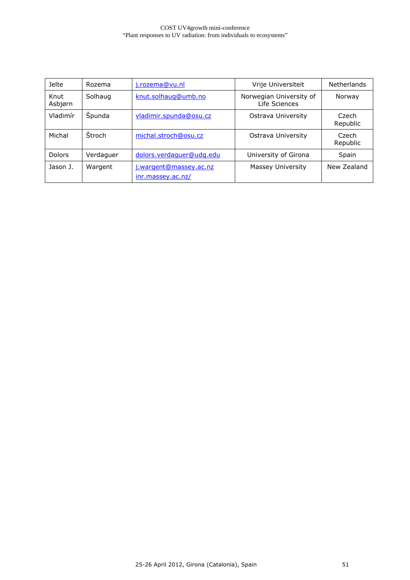| <b>Jelte</b>    | Rozema        | j.rozema@vu.nl                              | Vrije Universiteit                       | <b>Netherlands</b> |
|-----------------|---------------|---------------------------------------------|------------------------------------------|--------------------|
| Knut<br>Asbjørn | Solhaug       | knut.solhaug@umb.no                         | Norwegian University of<br>Life Sciences | Norway             |
| Vladimír        | Spunda        | vladimir.spunda@osu.cz                      | Ostrava University                       | Czech<br>Republic  |
| Michal          | <b>Stroch</b> | michal.stroch@osu.cz                        | Ostrava University                       | Czech<br>Republic  |
| <b>Dolors</b>   | Verdaguer     | dolors.verdaguer@udg.edu                    | University of Girona                     | Spain              |
| Jason J.        | Wargent       | j.wargent@massey.ac.nz<br>inr.massey.ac.nz/ | Massey University                        | New Zealand        |